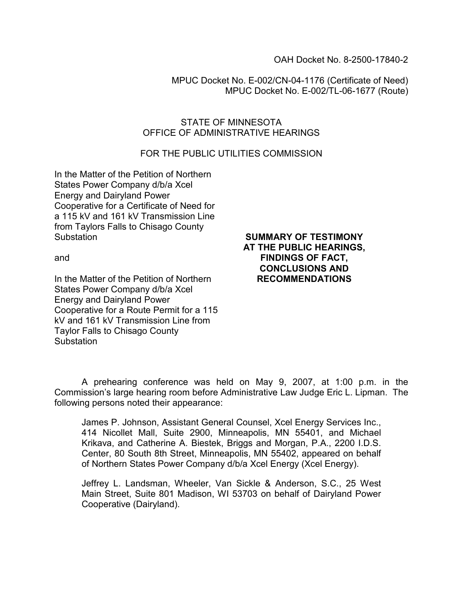OAH Docket No. 8-2500-17840-2

MPUC Docket No. E-002/CN-04-1176 (Certificate of Need) MPUC Docket No. E-002/TL-06-1677 (Route)

#### STATE OF MINNESOTA OFFICE OF ADMINISTRATIVE HEARINGS

### FOR THE PUBLIC UTILITIES COMMISSION

In the Matter of the Petition of Northern States Power Company d/b/a Xcel Energy and Dairyland Power Cooperative for a Certificate of Need for a 115 kV and 161 kV Transmission Line from Taylors Falls to Chisago County **Substation** 

and

In the Matter of the Petition of Northern States Power Company d/b/a Xcel Energy and Dairyland Power Cooperative for a Route Permit for a 115 kV and 161 kV Transmission Line from Taylor Falls to Chisago County **Substation** 

#### SUMMARY OF TESTIMONY AT THE PUBLIC HEARINGS, FINDINGS OF FACT, CONCLUSIONS AND RECOMMENDATIONS

A prehearing conference was held on May 9, 2007, at 1:00 p.m. in the Commission's large hearing room before Administrative Law Judge Eric L. Lipman. The following persons noted their appearance:

James P. Johnson, Assistant General Counsel, Xcel Energy Services Inc., 414 Nicollet Mall, Suite 2900, Minneapolis, MN 55401, and Michael Krikava, and Catherine A. Biestek, Briggs and Morgan, P.A., 2200 I.D.S. Center, 80 South 8th Street, Minneapolis, MN 55402, appeared on behalf of Northern States Power Company d/b/a Xcel Energy (Xcel Energy).

Jeffrey L. Landsman, Wheeler, Van Sickle & Anderson, S.C., 25 West Main Street, Suite 801 Madison, WI 53703 on behalf of Dairyland Power Cooperative (Dairyland).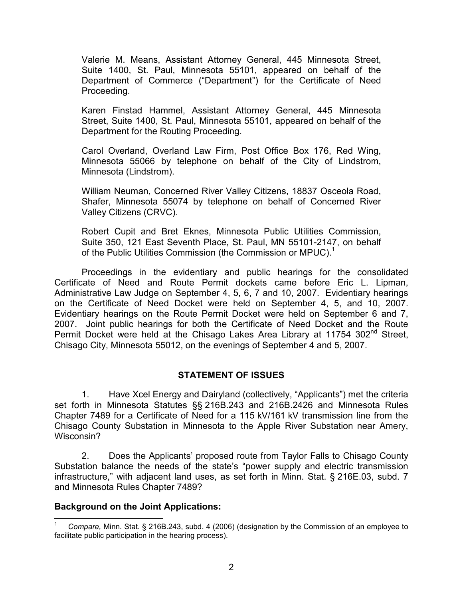Valerie M. Means, Assistant Attorney General, 445 Minnesota Street, Suite 1400, St. Paul, Minnesota 55101, appeared on behalf of the Department of Commerce ("Department") for the Certificate of Need Proceeding.

Karen Finstad Hammel, Assistant Attorney General, 445 Minnesota Street, Suite 1400, St. Paul, Minnesota 55101, appeared on behalf of the Department for the Routing Proceeding.

Carol Overland, Overland Law Firm, Post Office Box 176, Red Wing, Minnesota 55066 by telephone on behalf of the City of Lindstrom, Minnesota (Lindstrom).

William Neuman, Concerned River Valley Citizens, 18837 Osceola Road, Shafer, Minnesota 55074 by telephone on behalf of Concerned River Valley Citizens (CRVC).

Robert Cupit and Bret Eknes, Minnesota Public Utilities Commission, Suite 350, 121 East Seventh Place, St. Paul, MN 55101-2147, on behalf of the Public Utilities Commission (the Commission or MPUC).<sup>1</sup>

Proceedings in the evidentiary and public hearings for the consolidated Certificate of Need and Route Permit dockets came before Eric L. Lipman, Administrative Law Judge on September 4, 5, 6, 7 and 10, 2007. Evidentiary hearings on the Certificate of Need Docket were held on September 4, 5, and 10, 2007. Evidentiary hearings on the Route Permit Docket were held on September 6 and 7, 2007. Joint public hearings for both the Certificate of Need Docket and the Route Permit Docket were held at the Chisago Lakes Area Library at 11754 302<sup>nd</sup> Street, Chisago City, Minnesota 55012, on the evenings of September 4 and 5, 2007.

# STATEMENT OF ISSUES

1. Have Xcel Energy and Dairyland (collectively, "Applicants") met the criteria set forth in Minnesota Statutes §§ 216B.243 and 216B.2426 and Minnesota Rules Chapter 7489 for a Certificate of Need for a 115 kV/161 kV transmission line from the Chisago County Substation in Minnesota to the Apple River Substation near Amery, Wisconsin?

2. Does the Applicants' proposed route from Taylor Falls to Chisago County Substation balance the needs of the state's "power supply and electric transmission infrastructure," with adjacent land uses, as set forth in Minn. Stat. § 216E.03, subd. 7 and Minnesota Rules Chapter 7489?

### Background on the Joint Applications:

 $\overline{\phantom{a}}$ 1 Compare, Minn. Stat. § 216B.243, subd. 4 (2006) (designation by the Commission of an employee to facilitate public participation in the hearing process).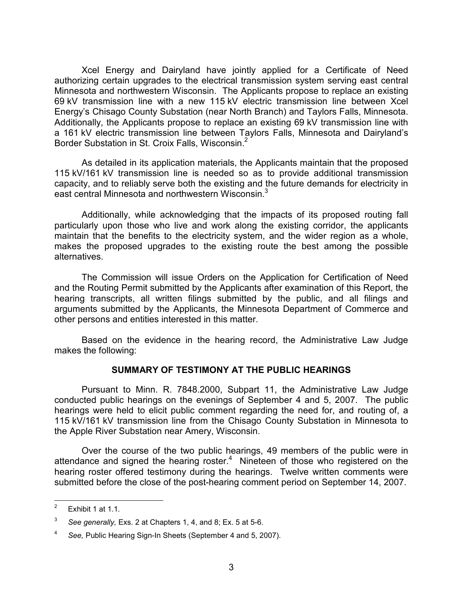Xcel Energy and Dairyland have jointly applied for a Certificate of Need authorizing certain upgrades to the electrical transmission system serving east central Minnesota and northwestern Wisconsin. The Applicants propose to replace an existing 69 kV transmission line with a new 115 kV electric transmission line between Xcel Energy's Chisago County Substation (near North Branch) and Taylors Falls, Minnesota. Additionally, the Applicants propose to replace an existing 69 kV transmission line with a 161 kV electric transmission line between Taylors Falls, Minnesota and Dairyland's Border Substation in St. Croix Falls, Wisconsin.<sup>2</sup>

 As detailed in its application materials, the Applicants maintain that the proposed 115 kV/161 kV transmission line is needed so as to provide additional transmission capacity, and to reliably serve both the existing and the future demands for electricity in east central Minnesota and northwestern Wisconsin.<sup>3</sup>

Additionally, while acknowledging that the impacts of its proposed routing fall particularly upon those who live and work along the existing corridor, the applicants maintain that the benefits to the electricity system, and the wider region as a whole, makes the proposed upgrades to the existing route the best among the possible alternatives.

The Commission will issue Orders on the Application for Certification of Need and the Routing Permit submitted by the Applicants after examination of this Report, the hearing transcripts, all written filings submitted by the public, and all filings and arguments submitted by the Applicants, the Minnesota Department of Commerce and other persons and entities interested in this matter.

Based on the evidence in the hearing record, the Administrative Law Judge makes the following:

### SUMMARY OF TESTIMONY AT THE PUBLIC HEARINGS

Pursuant to Minn. R. 7848.2000, Subpart 11, the Administrative Law Judge conducted public hearings on the evenings of September 4 and 5, 2007. The public hearings were held to elicit public comment regarding the need for, and routing of, a 115 kV/161 kV transmission line from the Chisago County Substation in Minnesota to the Apple River Substation near Amery, Wisconsin.

 Over the course of the two public hearings, 49 members of the public were in attendance and signed the hearing roster. $4$  Nineteen of those who registered on the hearing roster offered testimony during the hearings. Twelve written comments were submitted before the close of the post-hearing comment period on September 14, 2007.

<sup>-&</sup>lt;br>2 Exhibit 1 at 1.1.

<sup>3</sup> See generally, Exs. 2 at Chapters 1, 4, and 8; Ex. 5 at 5-6.

<sup>4</sup> See, Public Hearing Sign-In Sheets (September 4 and 5, 2007).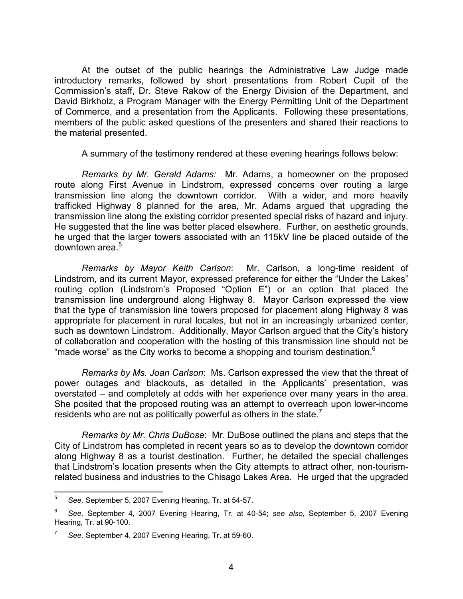At the outset of the public hearings the Administrative Law Judge made introductory remarks, followed by short presentations from Robert Cupit of the Commission's staff, Dr. Steve Rakow of the Energy Division of the Department, and David Birkholz, a Program Manager with the Energy Permitting Unit of the Department of Commerce, and a presentation from the Applicants. Following these presentations, members of the public asked questions of the presenters and shared their reactions to the material presented.

A summary of the testimony rendered at these evening hearings follows below:

Remarks by Mr. Gerald Adams: Mr. Adams, a homeowner on the proposed route along First Avenue in Lindstrom, expressed concerns over routing a large transmission line along the downtown corridor. With a wider, and more heavily trafficked Highway 8 planned for the area, Mr. Adams argued that upgrading the transmission line along the existing corridor presented special risks of hazard and injury. He suggested that the line was better placed elsewhere. Further, on aesthetic grounds, he urged that the larger towers associated with an 115kV line be placed outside of the downtown area.<sup>5</sup>

Remarks by Mayor Keith Carlson: Mr. Carlson, a long-time resident of Lindstrom, and its current Mayor, expressed preference for either the "Under the Lakes" routing option (Lindstrom's Proposed "Option E") or an option that placed the transmission line underground along Highway 8. Mayor Carlson expressed the view that the type of transmission line towers proposed for placement along Highway 8 was appropriate for placement in rural locales, but not in an increasingly urbanized center, such as downtown Lindstrom. Additionally, Mayor Carlson argued that the City's history of collaboration and cooperation with the hosting of this transmission line should not be "made worse" as the City works to become a shopping and tourism destination.<sup>6</sup>

Remarks by Ms. Joan Carlson: Ms. Carlson expressed the view that the threat of power outages and blackouts, as detailed in the Applicants' presentation, was overstated – and completely at odds with her experience over many years in the area. She posited that the proposed routing was an attempt to overreach upon lower-income residents who are not as politically powerful as others in the state.<sup>7</sup>

Remarks by Mr. Chris DuBose: Mr. DuBose outlined the plans and steps that the City of Lindstrom has completed in recent years so as to develop the downtown corridor along Highway 8 as a tourist destination. Further, he detailed the special challenges that Lindstrom's location presents when the City attempts to attract other, non-tourismrelated business and industries to the Chisago Lakes Area. He urged that the upgraded

<sup>–&</sup>lt;br>5 See, September 5, 2007 Evening Hearing, Tr. at 54-57.

<sup>6</sup> See, September 4, 2007 Evening Hearing, Tr. at 40-54; see also, September 5, 2007 Evening Hearing, Tr. at 90-100.

<sup>7</sup> See, September 4, 2007 Evening Hearing, Tr. at 59-60.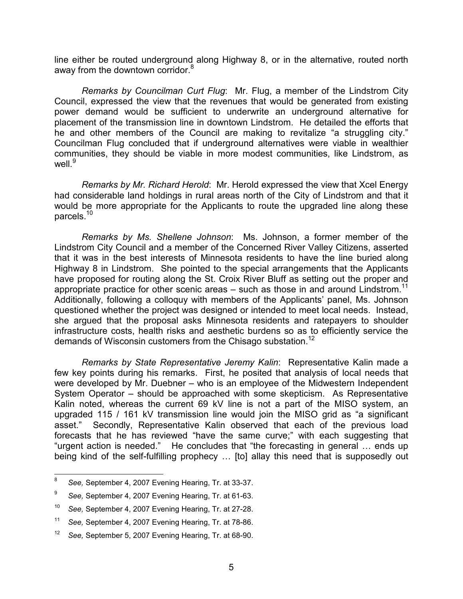line either be routed underground along Highway 8, or in the alternative, routed north away from the downtown corridor.<sup>8</sup>

Remarks by Councilman Curt Flug: Mr. Flug, a member of the Lindstrom City Council, expressed the view that the revenues that would be generated from existing power demand would be sufficient to underwrite an underground alternative for placement of the transmission line in downtown Lindstrom. He detailed the efforts that he and other members of the Council are making to revitalize "a struggling city." Councilman Flug concluded that if underground alternatives were viable in wealthier communities, they should be viable in more modest communities, like Lindstrom, as well $^{9}$ 

Remarks by Mr. Richard Herold: Mr. Herold expressed the view that Xcel Energy had considerable land holdings in rural areas north of the City of Lindstrom and that it would be more appropriate for the Applicants to route the upgraded line along these parcels.<sup>10</sup>

Remarks by Ms. Shellene Johnson: Ms. Johnson, a former member of the Lindstrom City Council and a member of the Concerned River Valley Citizens, asserted that it was in the best interests of Minnesota residents to have the line buried along Highway 8 in Lindstrom. She pointed to the special arrangements that the Applicants have proposed for routing along the St. Croix River Bluff as setting out the proper and appropriate practice for other scenic areas  $-$  such as those in and around Lindstrom.<sup>11</sup> Additionally, following a colloquy with members of the Applicants' panel, Ms. Johnson questioned whether the project was designed or intended to meet local needs. Instead, she argued that the proposal asks Minnesota residents and ratepayers to shoulder infrastructure costs, health risks and aesthetic burdens so as to efficiently service the demands of Wisconsin customers from the Chisago substation.<sup>12</sup>

Remarks by State Representative Jeremy Kalin: Representative Kalin made a few key points during his remarks. First, he posited that analysis of local needs that were developed by Mr. Duebner – who is an employee of the Midwestern Independent System Operator – should be approached with some skepticism. As Representative Kalin noted, whereas the current 69 kV line is not a part of the MISO system, an upgraded 115 / 161 kV transmission line would join the MISO grid as "a significant asset." Secondly, Representative Kalin observed that each of the previous load forecasts that he has reviewed "have the same curve;" with each suggesting that "urgent action is needed." He concludes that "the forecasting in general … ends up being kind of the self-fulfilling prophecy … [to] allay this need that is supposedly out

<sup>-&</sup>lt;br>8 See, September 4, 2007 Evening Hearing, Tr. at 33-37.

<sup>9</sup> See, September 4, 2007 Evening Hearing, Tr. at 61-63.

<sup>10</sup> See, September 4, 2007 Evening Hearing, Tr. at 27-28.

<sup>11</sup> See, September 4, 2007 Evening Hearing, Tr. at 78-86.

<sup>12</sup> See, September 5, 2007 Evening Hearing, Tr. at 68-90.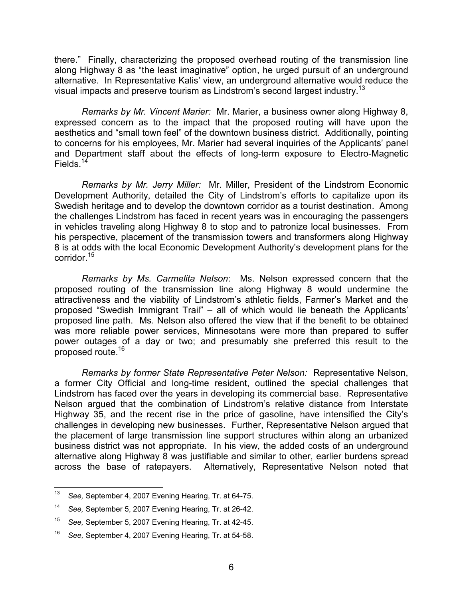there." Finally, characterizing the proposed overhead routing of the transmission line along Highway 8 as "the least imaginative" option, he urged pursuit of an underground alternative. In Representative Kalis' view, an underground alternative would reduce the visual impacts and preserve tourism as Lindstrom's second largest industry.<sup>13</sup>

Remarks by Mr. Vincent Marier: Mr. Marier, a business owner along Highway 8, expressed concern as to the impact that the proposed routing will have upon the aesthetics and "small town feel" of the downtown business district. Additionally, pointing to concerns for his employees, Mr. Marier had several inquiries of the Applicants' panel and Department staff about the effects of long-term exposure to Electro-Magnetic Fields. $14$ 

Remarks by Mr. Jerry Miller: Mr. Miller, President of the Lindstrom Economic Development Authority, detailed the City of Lindstrom's efforts to capitalize upon its Swedish heritage and to develop the downtown corridor as a tourist destination. Among the challenges Lindstrom has faced in recent years was in encouraging the passengers in vehicles traveling along Highway 8 to stop and to patronize local businesses. From his perspective, placement of the transmission towers and transformers along Highway 8 is at odds with the local Economic Development Authority's development plans for the corridor.<sup>15</sup>

Remarks by Ms. Carmelita Nelson: Ms. Nelson expressed concern that the proposed routing of the transmission line along Highway 8 would undermine the attractiveness and the viability of Lindstrom's athletic fields, Farmer's Market and the proposed "Swedish Immigrant Trail" – all of which would lie beneath the Applicants' proposed line path. Ms. Nelson also offered the view that if the benefit to be obtained was more reliable power services, Minnesotans were more than prepared to suffer power outages of a day or two; and presumably she preferred this result to the proposed route.<sup>16</sup>

Remarks by former State Representative Peter Nelson: Representative Nelson, a former City Official and long-time resident, outlined the special challenges that Lindstrom has faced over the years in developing its commercial base. Representative Nelson argued that the combination of Lindstrom's relative distance from Interstate Highway 35, and the recent rise in the price of gasoline, have intensified the City's challenges in developing new businesses. Further, Representative Nelson argued that the placement of large transmission line support structures within along an urbanized business district was not appropriate. In his view, the added costs of an underground alternative along Highway 8 was justifiable and similar to other, earlier burdens spread across the base of ratepayers. Alternatively, Representative Nelson noted that

 $\frac{1}{13}$ See, September 4, 2007 Evening Hearing, Tr. at 64-75.

<sup>14</sup> See, September 5, 2007 Evening Hearing, Tr. at 26-42.

<sup>15</sup> See, September 5, 2007 Evening Hearing, Tr. at 42-45.

<sup>16</sup> See, September 4, 2007 Evening Hearing, Tr. at 54-58.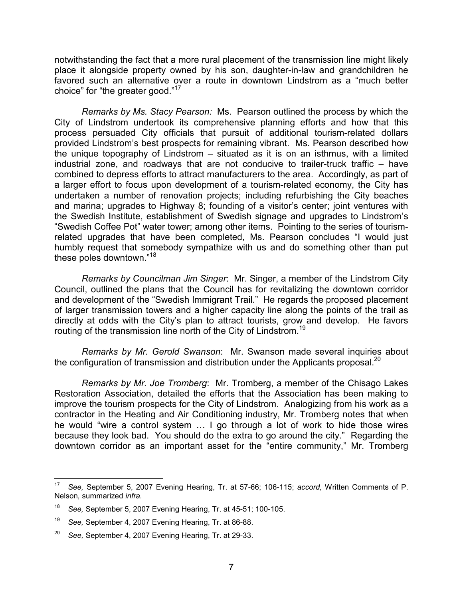notwithstanding the fact that a more rural placement of the transmission line might likely place it alongside property owned by his son, daughter-in-law and grandchildren he favored such an alternative over a route in downtown Lindstrom as a "much better choice" for "the greater good."<sup>17</sup>

Remarks by Ms. Stacy Pearson: Ms. Pearson outlined the process by which the City of Lindstrom undertook its comprehensive planning efforts and how that this process persuaded City officials that pursuit of additional tourism-related dollars provided Lindstrom's best prospects for remaining vibrant. Ms. Pearson described how the unique topography of Lindstrom – situated as it is on an isthmus, with a limited industrial zone, and roadways that are not conducive to trailer-truck traffic – have combined to depress efforts to attract manufacturers to the area. Accordingly, as part of a larger effort to focus upon development of a tourism-related economy, the City has undertaken a number of renovation projects; including refurbishing the City beaches and marina; upgrades to Highway 8; founding of a visitor's center; joint ventures with the Swedish Institute, establishment of Swedish signage and upgrades to Lindstrom's "Swedish Coffee Pot" water tower; among other items. Pointing to the series of tourismrelated upgrades that have been completed, Ms. Pearson concludes "I would just humbly request that somebody sympathize with us and do something other than put these poles downtown."<sup>18</sup>

Remarks by Councilman Jim Singer: Mr. Singer, a member of the Lindstrom City Council, outlined the plans that the Council has for revitalizing the downtown corridor and development of the "Swedish Immigrant Trail." He regards the proposed placement of larger transmission towers and a higher capacity line along the points of the trail as directly at odds with the City's plan to attract tourists, grow and develop. He favors routing of the transmission line north of the City of Lindstrom.<sup>19</sup>

Remarks by Mr. Gerold Swanson: Mr. Swanson made several inquiries about the configuration of transmission and distribution under the Applicants proposal. $^{20}$ 

Remarks by Mr. Joe Tromberg: Mr. Tromberg, a member of the Chisago Lakes Restoration Association, detailed the efforts that the Association has been making to improve the tourism prospects for the City of Lindstrom. Analogizing from his work as a contractor in the Heating and Air Conditioning industry, Mr. Tromberg notes that when he would "wire a control system … I go through a lot of work to hide those wires because they look bad. You should do the extra to go around the city." Regarding the downtown corridor as an important asset for the "entire community," Mr. Tromberg

 $\frac{1}{17}$  See, September 5, 2007 Evening Hearing, Tr. at 57-66; 106-115; accord, Written Comments of P. Nelson, summarized infra.

<sup>18</sup> See, September 5, 2007 Evening Hearing, Tr. at 45-51; 100-105.

<sup>19</sup> See, September 4, 2007 Evening Hearing, Tr. at 86-88.

<sup>20</sup> See, September 4, 2007 Evening Hearing, Tr. at 29-33.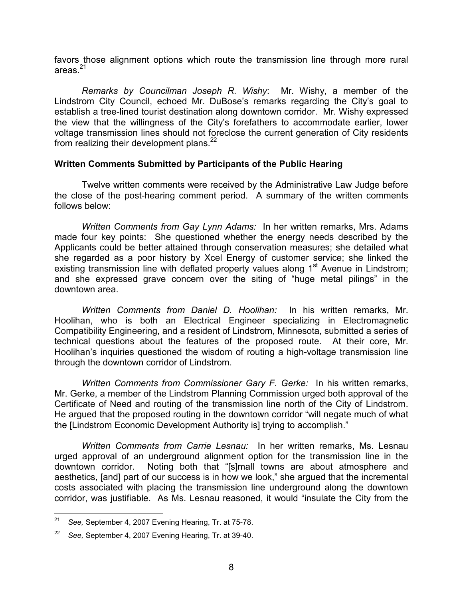favors those alignment options which route the transmission line through more rural areas. $21$ 

Remarks by Councilman Joseph R. Wishy: Mr. Wishy, a member of the Lindstrom City Council, echoed Mr. DuBose's remarks regarding the City's goal to establish a tree-lined tourist destination along downtown corridor. Mr. Wishy expressed the view that the willingness of the City's forefathers to accommodate earlier, lower voltage transmission lines should not foreclose the current generation of City residents from realizing their development plans. $^{22}$ 

### Written Comments Submitted by Participants of the Public Hearing

Twelve written comments were received by the Administrative Law Judge before the close of the post-hearing comment period. A summary of the written comments follows below:

Written Comments from Gay Lynn Adams: In her written remarks, Mrs. Adams made four key points: She questioned whether the energy needs described by the Applicants could be better attained through conservation measures; she detailed what she regarded as a poor history by Xcel Energy of customer service; she linked the existing transmission line with deflated property values along 1<sup>st</sup> Avenue in Lindstrom; and she expressed grave concern over the siting of "huge metal pilings" in the downtown area.

Written Comments from Daniel D. Hoolihan: In his written remarks, Mr. Hoolihan, who is both an Electrical Engineer specializing in Electromagnetic Compatibility Engineering, and a resident of Lindstrom, Minnesota, submitted a series of technical questions about the features of the proposed route. At their core, Mr. Hoolihan's inquiries questioned the wisdom of routing a high-voltage transmission line through the downtown corridor of Lindstrom.

Written Comments from Commissioner Gary F. Gerke: In his written remarks, Mr. Gerke, a member of the Lindstrom Planning Commission urged both approval of the Certificate of Need and routing of the transmission line north of the City of Lindstrom. He argued that the proposed routing in the downtown corridor "will negate much of what the [Lindstrom Economic Development Authority is] trying to accomplish."

Written Comments from Carrie Lesnau: In her written remarks, Ms. Lesnau urged approval of an underground alignment option for the transmission line in the downtown corridor. Noting both that "[s]mall towns are about atmosphere and aesthetics, [and] part of our success is in how we look," she argued that the incremental costs associated with placing the transmission line underground along the downtown corridor, was justifiable. As Ms. Lesnau reasoned, it would "insulate the City from the

 $\frac{1}{21}$ See, September 4, 2007 Evening Hearing, Tr. at 75-78.

<sup>22</sup> See, September 4, 2007 Evening Hearing, Tr. at 39-40.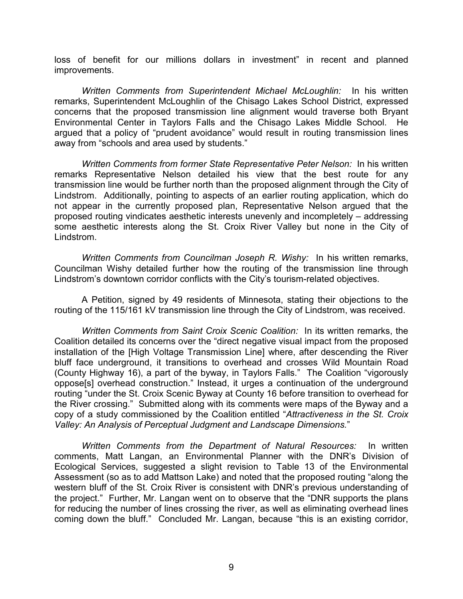loss of benefit for our millions dollars in investment" in recent and planned improvements.

Written Comments from Superintendent Michael McLoughlin: In his written remarks, Superintendent McLoughlin of the Chisago Lakes School District, expressed concerns that the proposed transmission line alignment would traverse both Bryant Environmental Center in Taylors Falls and the Chisago Lakes Middle School. He argued that a policy of "prudent avoidance" would result in routing transmission lines away from "schools and area used by students."

Written Comments from former State Representative Peter Nelson: In his written remarks Representative Nelson detailed his view that the best route for any transmission line would be further north than the proposed alignment through the City of Lindstrom. Additionally, pointing to aspects of an earlier routing application, which do not appear in the currently proposed plan, Representative Nelson argued that the proposed routing vindicates aesthetic interests unevenly and incompletely – addressing some aesthetic interests along the St. Croix River Valley but none in the City of Lindstrom.

Written Comments from Councilman Joseph R. Wishy: In his written remarks, Councilman Wishy detailed further how the routing of the transmission line through Lindstrom's downtown corridor conflicts with the City's tourism-related objectives.

A Petition, signed by 49 residents of Minnesota, stating their objections to the routing of the 115/161 kV transmission line through the City of Lindstrom, was received.

Written Comments from Saint Croix Scenic Coalition: In its written remarks, the Coalition detailed its concerns over the "direct negative visual impact from the proposed installation of the [High Voltage Transmission Line] where, after descending the River bluff face underground, it transitions to overhead and crosses Wild Mountain Road (County Highway 16), a part of the byway, in Taylors Falls." The Coalition "vigorously oppose[s] overhead construction." Instead, it urges a continuation of the underground routing "under the St. Croix Scenic Byway at County 16 before transition to overhead for the River crossing." Submitted along with its comments were maps of the Byway and a copy of a study commissioned by the Coalition entitled "Attractiveness in the St. Croix Valley: An Analysis of Perceptual Judgment and Landscape Dimensions."

Written Comments from the Department of Natural Resources: In written comments, Matt Langan, an Environmental Planner with the DNR's Division of Ecological Services, suggested a slight revision to Table 13 of the Environmental Assessment (so as to add Mattson Lake) and noted that the proposed routing "along the western bluff of the St. Croix River is consistent with DNR's previous understanding of the project." Further, Mr. Langan went on to observe that the "DNR supports the plans for reducing the number of lines crossing the river, as well as eliminating overhead lines coming down the bluff." Concluded Mr. Langan, because "this is an existing corridor,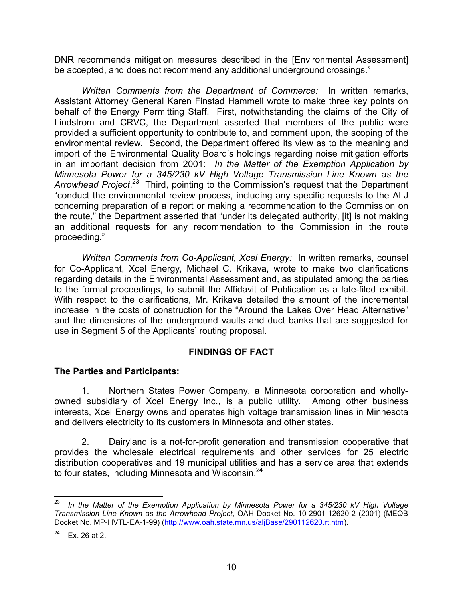DNR recommends mitigation measures described in the [Environmental Assessment] be accepted, and does not recommend any additional underground crossings."

Written Comments from the Department of Commerce: In written remarks, Assistant Attorney General Karen Finstad Hammell wrote to make three key points on behalf of the Energy Permitting Staff. First, notwithstanding the claims of the City of Lindstrom and CRVC, the Department asserted that members of the public were provided a sufficient opportunity to contribute to, and comment upon, the scoping of the environmental review. Second, the Department offered its view as to the meaning and import of the Environmental Quality Board's holdings regarding noise mitigation efforts in an important decision from 2001: In the Matter of the Exemption Application by Minnesota Power for a 345/230 kV High Voltage Transmission Line Known as the Arrowhead Project.<sup>23</sup> Third, pointing to the Commission's request that the Department "conduct the environmental review process, including any specific requests to the ALJ concerning preparation of a report or making a recommendation to the Commission on the route," the Department asserted that "under its delegated authority, [it] is not making an additional requests for any recommendation to the Commission in the route proceeding."

Written Comments from Co-Applicant, Xcel Energy: In written remarks, counsel for Co-Applicant, Xcel Energy, Michael C. Krikava, wrote to make two clarifications regarding details in the Environmental Assessment and, as stipulated among the parties to the formal proceedings, to submit the Affidavit of Publication as a late-filed exhibit. With respect to the clarifications, Mr. Krikava detailed the amount of the incremental increase in the costs of construction for the "Around the Lakes Over Head Alternative" and the dimensions of the underground vaults and duct banks that are suggested for use in Segment 5 of the Applicants' routing proposal.

# FINDINGS OF FACT

# The Parties and Participants:

1. Northern States Power Company, a Minnesota corporation and whollyowned subsidiary of Xcel Energy Inc., is a public utility. Among other business interests, Xcel Energy owns and operates high voltage transmission lines in Minnesota and delivers electricity to its customers in Minnesota and other states.

2. Dairyland is a not-for-profit generation and transmission cooperative that provides the wholesale electrical requirements and other services for 25 electric distribution cooperatives and 19 municipal utilities and has a service area that extends to four states, including Minnesota and Wisconsin.<sup>24</sup>

 $\frac{1}{23}$  In the Matter of the Exemption Application by Minnesota Power for a 345/230 kV High Voltage Transmission Line Known as the Arrowhead Project, OAH Docket No. 10-2901-12620-2 (2001) (MEQB Docket No. MP-HVTL-EA-1-99) (http://www.oah.state.mn.us/aljBase/290112620.rt.htm).

 $24$  Ex. 26 at 2.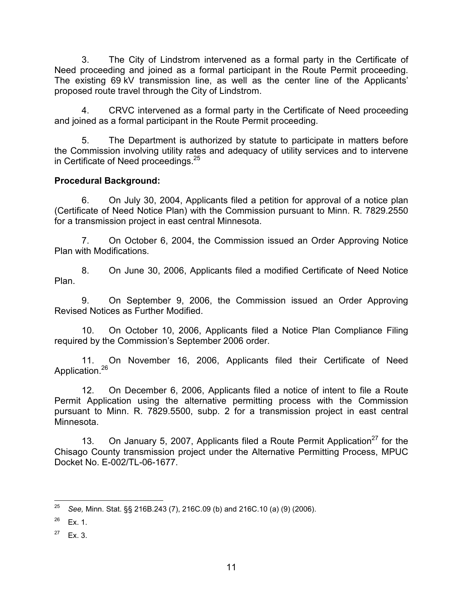3. The City of Lindstrom intervened as a formal party in the Certificate of Need proceeding and joined as a formal participant in the Route Permit proceeding. The existing 69 kV transmission line, as well as the center line of the Applicants' proposed route travel through the City of Lindstrom.

4. CRVC intervened as a formal party in the Certificate of Need proceeding and joined as a formal participant in the Route Permit proceeding.

5. The Department is authorized by statute to participate in matters before the Commission involving utility rates and adequacy of utility services and to intervene in Certificate of Need proceedings.<sup>25</sup>

# Procedural Background:

6. On July 30, 2004, Applicants filed a petition for approval of a notice plan (Certificate of Need Notice Plan) with the Commission pursuant to Minn. R. 7829.2550 for a transmission project in east central Minnesota.

7. On October 6, 2004, the Commission issued an Order Approving Notice Plan with Modifications.

8. On June 30, 2006, Applicants filed a modified Certificate of Need Notice Plan.

9. On September 9, 2006, the Commission issued an Order Approving Revised Notices as Further Modified.

10. On October 10, 2006, Applicants filed a Notice Plan Compliance Filing required by the Commission's September 2006 order.

11. On November 16, 2006, Applicants filed their Certificate of Need Application.<sup>26</sup>

12. On December 6, 2006, Applicants filed a notice of intent to file a Route Permit Application using the alternative permitting process with the Commission pursuant to Minn. R. 7829.5500, subp. 2 for a transmission project in east central Minnesota.

13. On January 5, 2007, Applicants filed a Route Permit Application<sup>27</sup> for the Chisago County transmission project under the Alternative Permitting Process, MPUC Docket No. E-002/TL-06-1677.

<sup>25</sup> See, Minn. Stat. §§ 216B.243 (7), 216C.09 (b) and 216C.10 (a) (9) (2006).

 $26$  Ex. 1.

 $27$  Ex. 3.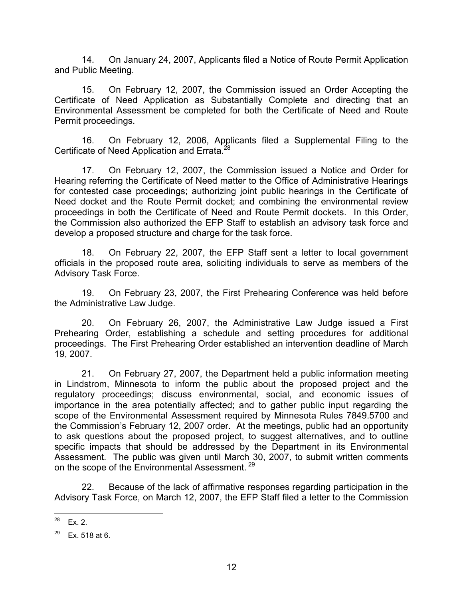14. On January 24, 2007, Applicants filed a Notice of Route Permit Application and Public Meeting.

15. On February 12, 2007, the Commission issued an Order Accepting the Certificate of Need Application as Substantially Complete and directing that an Environmental Assessment be completed for both the Certificate of Need and Route Permit proceedings.

16. On February 12, 2006, Applicants filed a Supplemental Filing to the Certificate of Need Application and Errata.<sup>26</sup>

17. On February 12, 2007, the Commission issued a Notice and Order for Hearing referring the Certificate of Need matter to the Office of Administrative Hearings for contested case proceedings; authorizing joint public hearings in the Certificate of Need docket and the Route Permit docket; and combining the environmental review proceedings in both the Certificate of Need and Route Permit dockets. In this Order, the Commission also authorized the EFP Staff to establish an advisory task force and develop a proposed structure and charge for the task force.

18. On February 22, 2007, the EFP Staff sent a letter to local government officials in the proposed route area, soliciting individuals to serve as members of the Advisory Task Force.

19. On February 23, 2007, the First Prehearing Conference was held before the Administrative Law Judge.

20. On February 26, 2007, the Administrative Law Judge issued a First Prehearing Order, establishing a schedule and setting procedures for additional proceedings. The First Prehearing Order established an intervention deadline of March 19, 2007.

21. On February 27, 2007, the Department held a public information meeting in Lindstrom, Minnesota to inform the public about the proposed project and the regulatory proceedings; discuss environmental, social, and economic issues of importance in the area potentially affected; and to gather public input regarding the scope of the Environmental Assessment required by Minnesota Rules 7849.5700 and the Commission's February 12, 2007 order. At the meetings, public had an opportunity to ask questions about the proposed project, to suggest alternatives, and to outline specific impacts that should be addressed by the Department in its Environmental Assessment. The public was given until March 30, 2007, to submit written comments on the scope of the Environmental Assessment.<sup>29</sup>

22. Because of the lack of affirmative responses regarding participation in the Advisory Task Force, on March 12, 2007, the EFP Staff filed a letter to the Commission

<sup>28</sup>  $Ex. 2.$ 

 $29$  Ex. 518 at 6.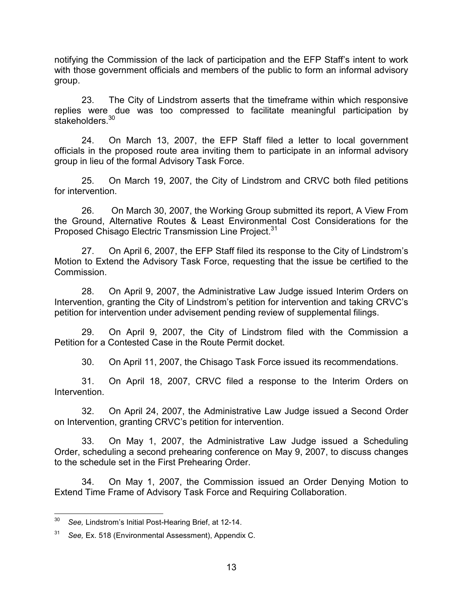notifying the Commission of the lack of participation and the EFP Staff's intent to work with those government officials and members of the public to form an informal advisory group.

23. The City of Lindstrom asserts that the timeframe within which responsive replies were due was too compressed to facilitate meaningful participation by stakeholders.<sup>30</sup>

24. On March 13, 2007, the EFP Staff filed a letter to local government officials in the proposed route area inviting them to participate in an informal advisory group in lieu of the formal Advisory Task Force.

25. On March 19, 2007, the City of Lindstrom and CRVC both filed petitions for intervention.

26. On March 30, 2007, the Working Group submitted its report, A View From the Ground, Alternative Routes & Least Environmental Cost Considerations for the Proposed Chisago Electric Transmission Line Project.<sup>31</sup>

27. On April 6, 2007, the EFP Staff filed its response to the City of Lindstrom's Motion to Extend the Advisory Task Force, requesting that the issue be certified to the Commission.

28. On April 9, 2007, the Administrative Law Judge issued Interim Orders on Intervention, granting the City of Lindstrom's petition for intervention and taking CRVC's petition for intervention under advisement pending review of supplemental filings.

29. On April 9, 2007, the City of Lindstrom filed with the Commission a Petition for a Contested Case in the Route Permit docket.

30. On April 11, 2007, the Chisago Task Force issued its recommendations.

31. On April 18, 2007, CRVC filed a response to the Interim Orders on Intervention.

32. On April 24, 2007, the Administrative Law Judge issued a Second Order on Intervention, granting CRVC's petition for intervention.

33. On May 1, 2007, the Administrative Law Judge issued a Scheduling Order, scheduling a second prehearing conference on May 9, 2007, to discuss changes to the schedule set in the First Prehearing Order.

34. On May 1, 2007, the Commission issued an Order Denying Motion to Extend Time Frame of Advisory Task Force and Requiring Collaboration.

 $30<sub>o</sub>$ See, Lindstrom's Initial Post-Hearing Brief, at 12-14.

 $31$  See, Ex. 518 (Environmental Assessment), Appendix C.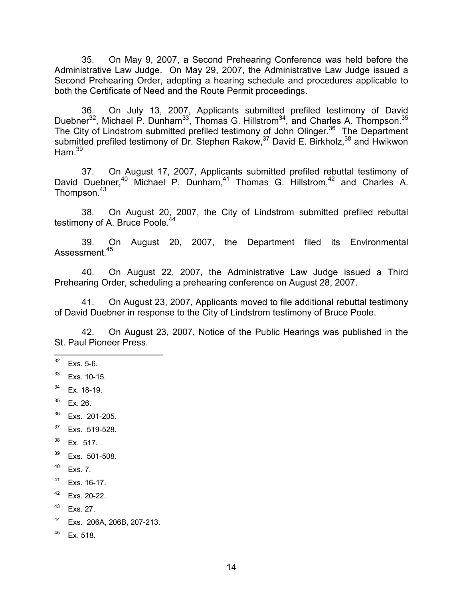35. On May 9, 2007, a Second Prehearing Conference was held before the Administrative Law Judge. On May 29, 2007, the Administrative Law Judge issued a Second Prehearing Order, adopting a hearing schedule and procedures applicable to both the Certificate of Need and the Route Permit proceedings.

36. On July 13, 2007, Applicants submitted prefiled testimony of David Duebner<sup>32</sup>, Michael P. Dunham<sup>33</sup>, Thomas G. Hillstrom<sup>34</sup>, and Charles A. Thompson.<sup>35</sup> The City of Lindstrom submitted prefiled testimony of John Olinger.<sup>36</sup> The Department submitted prefiled testimony of Dr. Stephen Rakow,<sup>37</sup> David E. Birkholz,<sup>38</sup> and Hwikwon Ham. $39$ 

37. On August 17, 2007, Applicants submitted prefiled rebuttal testimony of David Duebner,<sup>40</sup> Michael P. Dunham,<sup>41</sup> Thomas G. Hillstrom,<sup>42</sup> and Charles A. Thompson.<sup>43</sup>

38. On August 20, 2007, the City of Lindstrom submitted prefiled rebuttal testimony of A. Bruce Poole.<sup>44</sup>

39. On August 20, 2007, the Department filed its Environmental Assessment.<sup>45</sup>

40. On August 22, 2007, the Administrative Law Judge issued a Third Prehearing Order, scheduling a prehearing conference on August 28, 2007.

41. On August 23, 2007, Applicants moved to file additional rebuttal testimony of David Duebner in response to the City of Lindstrom testimony of Bruce Poole.

42. On August 23, 2007, Notice of the Public Hearings was published in the St. Paul Pioneer Press.

- $35$  Ex. 26.
- <sup>36</sup> Exs. 201-205.
- $37$  Exs. 519-528.
- <sup>38</sup> Ex. 517.
- <sup>39</sup> Exs. 501-508.
- $40$  Exs. 7.
- <sup>41</sup> Exs. 16-17.
- <sup>42</sup> Exs. 20-22.
- $43$  Exs. 27.
- <sup>44</sup> Exs. 206A, 206B, 207-213.
- $45$  Ex. 518.

<sup>32</sup> Exs. 5-6.

<sup>33</sup> Exs. 10-15.

 $34$  Ex. 18-19.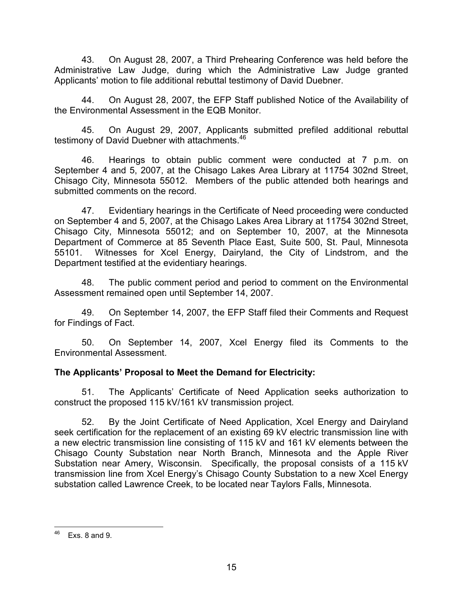43. On August 28, 2007, a Third Prehearing Conference was held before the Administrative Law Judge, during which the Administrative Law Judge granted Applicants' motion to file additional rebuttal testimony of David Duebner.

44. On August 28, 2007, the EFP Staff published Notice of the Availability of the Environmental Assessment in the EQB Monitor.

45. On August 29, 2007, Applicants submitted prefiled additional rebuttal testimony of David Duebner with attachments.<sup>46</sup>

46. Hearings to obtain public comment were conducted at 7 p.m. on September 4 and 5, 2007, at the Chisago Lakes Area Library at 11754 302nd Street, Chisago City, Minnesota 55012. Members of the public attended both hearings and submitted comments on the record.

47. Evidentiary hearings in the Certificate of Need proceeding were conducted on September 4 and 5, 2007, at the Chisago Lakes Area Library at 11754 302nd Street, Chisago City, Minnesota 55012; and on September 10, 2007, at the Minnesota Department of Commerce at 85 Seventh Place East, Suite 500, St. Paul, Minnesota 55101. Witnesses for Xcel Energy, Dairyland, the City of Lindstrom, and the Department testified at the evidentiary hearings.

48. The public comment period and period to comment on the Environmental Assessment remained open until September 14, 2007.

49. On September 14, 2007, the EFP Staff filed their Comments and Request for Findings of Fact.

50. On September 14, 2007, Xcel Energy filed its Comments to the Environmental Assessment.

# The Applicants' Proposal to Meet the Demand for Electricity:

51. The Applicants' Certificate of Need Application seeks authorization to construct the proposed 115 kV/161 kV transmission project.

52. By the Joint Certificate of Need Application, Xcel Energy and Dairyland seek certification for the replacement of an existing 69 kV electric transmission line with a new electric transmission line consisting of 115 kV and 161 kV elements between the Chisago County Substation near North Branch, Minnesota and the Apple River Substation near Amery, Wisconsin. Specifically, the proposal consists of a 115 kV transmission line from Xcel Energy's Chisago County Substation to a new Xcel Energy substation called Lawrence Creek, to be located near Taylors Falls, Minnesota.

<sup>46</sup> Exs.  $8$  and  $9$ .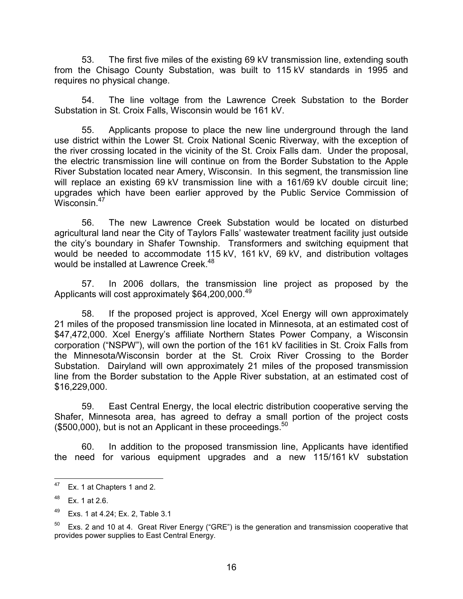53. The first five miles of the existing 69 kV transmission line, extending south from the Chisago County Substation, was built to 115 kV standards in 1995 and requires no physical change.

54. The line voltage from the Lawrence Creek Substation to the Border Substation in St. Croix Falls, Wisconsin would be 161 kV.

55. Applicants propose to place the new line underground through the land use district within the Lower St. Croix National Scenic Riverway, with the exception of the river crossing located in the vicinity of the St. Croix Falls dam. Under the proposal, the electric transmission line will continue on from the Border Substation to the Apple River Substation located near Amery, Wisconsin. In this segment, the transmission line will replace an existing 69 kV transmission line with a 161/69 kV double circuit line; upgrades which have been earlier approved by the Public Service Commission of Wisconsin.<sup>47</sup>

56. The new Lawrence Creek Substation would be located on disturbed agricultural land near the City of Taylors Falls' wastewater treatment facility just outside the city's boundary in Shafer Township. Transformers and switching equipment that would be needed to accommodate 115 kV, 161 kV, 69 kV, and distribution voltages would be installed at Lawrence Creek.<sup>48</sup>

57. In 2006 dollars, the transmission line project as proposed by the Applicants will cost approximately \$64,200,000.<sup>49</sup>

58. If the proposed project is approved, Xcel Energy will own approximately 21 miles of the proposed transmission line located in Minnesota, at an estimated cost of \$47,472,000. Xcel Energy's affiliate Northern States Power Company, a Wisconsin corporation ("NSPW"), will own the portion of the 161 kV facilities in St. Croix Falls from the Minnesota/Wisconsin border at the St. Croix River Crossing to the Border Substation. Dairyland will own approximately 21 miles of the proposed transmission line from the Border substation to the Apple River substation, at an estimated cost of \$16,229,000.

59. East Central Energy, the local electric distribution cooperative serving the Shafer, Minnesota area, has agreed to defray a small portion of the project costs  $($500,000)$ , but is not an Applicant in these proceedings.<sup>50</sup>

60. In addition to the proposed transmission line, Applicants have identified the need for various equipment upgrades and a new 115/161 kV substation

<sup>47</sup> Ex. 1 at Chapters 1 and 2.

 $48$  Ex. 1 at 2.6.

<sup>49</sup> Exs. 1 at 4.24; Ex. 2, Table 3.1

 $50$  Exs. 2 and 10 at 4. Great River Energy ("GRE") is the generation and transmission cooperative that provides power supplies to East Central Energy.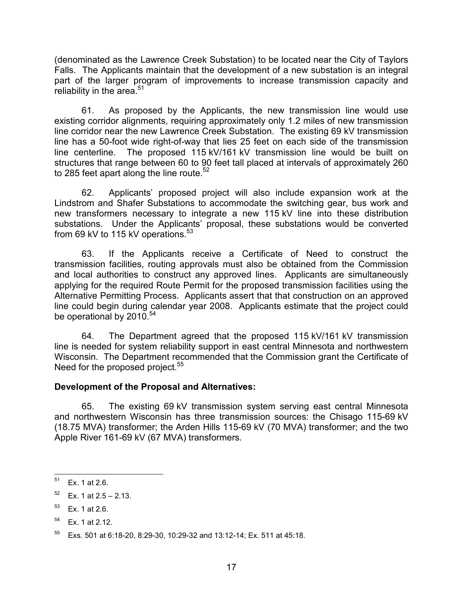(denominated as the Lawrence Creek Substation) to be located near the City of Taylors Falls. The Applicants maintain that the development of a new substation is an integral part of the larger program of improvements to increase transmission capacity and reliability in the area.<sup>51</sup>

61. As proposed by the Applicants, the new transmission line would use existing corridor alignments, requiring approximately only 1.2 miles of new transmission line corridor near the new Lawrence Creek Substation. The existing 69 kV transmission line has a 50-foot wide right-of-way that lies 25 feet on each side of the transmission line centerline. The proposed 115 kV/161 kV transmission line would be built on structures that range between 60 to 90 feet tall placed at intervals of approximately 260 to 285 feet apart along the line route.<sup>52</sup>

62. Applicants' proposed project will also include expansion work at the Lindstrom and Shafer Substations to accommodate the switching gear, bus work and new transformers necessary to integrate a new 115 kV line into these distribution substations. Under the Applicants' proposal, these substations would be converted from 69 kV to 115 kV operations.<sup>53</sup>

63. If the Applicants receive a Certificate of Need to construct the transmission facilities, routing approvals must also be obtained from the Commission and local authorities to construct any approved lines. Applicants are simultaneously applying for the required Route Permit for the proposed transmission facilities using the Alternative Permitting Process. Applicants assert that that construction on an approved line could begin during calendar year 2008. Applicants estimate that the project could be operational by 2010.<sup>54</sup>

64. The Department agreed that the proposed 115 kV/161 kV transmission line is needed for system reliability support in east central Minnesota and northwestern Wisconsin. The Department recommended that the Commission grant the Certificate of Need for the proposed project.<sup>55</sup>

### Development of the Proposal and Alternatives:

65. The existing 69 kV transmission system serving east central Minnesota and northwestern Wisconsin has three transmission sources: the Chisago 115-69 kV (18.75 MVA) transformer; the Arden Hills 115-69 kV (70 MVA) transformer; and the two Apple River 161-69 kV (67 MVA) transformers.

<sup>51</sup> Ex. 1 at 2.6.

 $52$  Ex. 1 at  $2.5 - 2.13$ .

 $53$  Ex. 1 at 2.6.

 $54$  Ex. 1 at 2.12.

<sup>55</sup> Exs. 501 at 6:18-20, 8:29-30, 10:29-32 and 13:12-14; Ex. 511 at 45:18.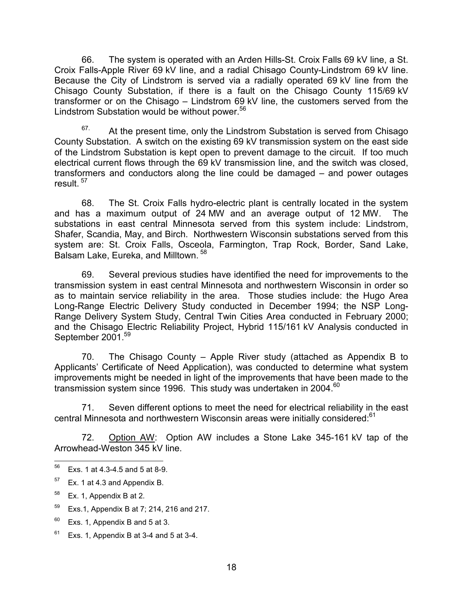66. The system is operated with an Arden Hills-St. Croix Falls 69 kV line, a St. Croix Falls-Apple River 69 kV line, and a radial Chisago County-Lindstrom 69 kV line. Because the City of Lindstrom is served via a radially operated 69 kV line from the Chisago County Substation, if there is a fault on the Chisago County 115/69 kV transformer or on the Chisago – Lindstrom 69 kV line, the customers served from the Lindstrom Substation would be without power.<sup>56</sup>

 $67.$  At the present time, only the Lindstrom Substation is served from Chisago County Substation. A switch on the existing 69 kV transmission system on the east side of the Lindstrom Substation is kept open to prevent damage to the circuit. If too much electrical current flows through the 69 kV transmission line, and the switch was closed, transformers and conductors along the line could be damaged – and power outages result.  $57$ 

68. The St. Croix Falls hydro-electric plant is centrally located in the system and has a maximum output of 24 MW and an average output of 12 MW. The substations in east central Minnesota served from this system include: Lindstrom, Shafer, Scandia, May, and Birch. Northwestern Wisconsin substations served from this system are: St. Croix Falls, Osceola, Farmington, Trap Rock, Border, Sand Lake, Balsam Lake, Eureka, and Milltown.<sup>58</sup>

69. Several previous studies have identified the need for improvements to the transmission system in east central Minnesota and northwestern Wisconsin in order so as to maintain service reliability in the area. Those studies include: the Hugo Area Long-Range Electric Delivery Study conducted in December 1994; the NSP Long-Range Delivery System Study, Central Twin Cities Area conducted in February 2000; and the Chisago Electric Reliability Project, Hybrid 115/161 kV Analysis conducted in September 2001.<sup>59</sup>

70. The Chisago County – Apple River study (attached as Appendix B to Applicants' Certificate of Need Application), was conducted to determine what system improvements might be needed in light of the improvements that have been made to the transmission system since 1996. This study was undertaken in 2004. $^{60}$ 

71. Seven different options to meet the need for electrical reliability in the east central Minnesota and northwestern Wisconsin areas were initially considered:<sup>61</sup>

72. Option AW: Option AW includes a Stone Lake 345-161 kV tap of the Arrowhead-Weston 345 kV line.

- $59$  Exs.1, Appendix B at 7; 214, 216 and 217.
- $60$  Exs. 1, Appendix B and 5 at 3.
- $61$  Exs. 1, Appendix B at 3-4 and 5 at 3-4.

<sup>56</sup> Exs. 1 at  $4.3 - 4.5$  and  $5$  at  $8 - 9$ .

 $57$  Ex. 1 at 4.3 and Appendix B.

 $58$  Ex. 1, Appendix B at 2.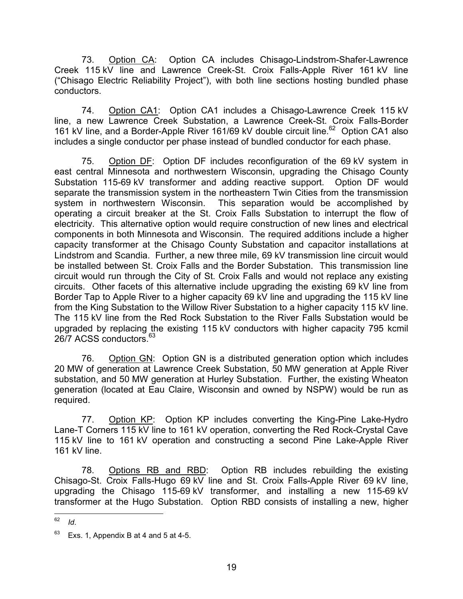73. Option CA: Option CA includes Chisago-Lindstrom-Shafer-Lawrence Creek 115 kV line and Lawrence Creek-St. Croix Falls-Apple River 161 kV line ("Chisago Electric Reliability Project"), with both line sections hosting bundled phase conductors.

74. Option CA1: Option CA1 includes a Chisago-Lawrence Creek 115 kV line, a new Lawrence Creek Substation, a Lawrence Creek-St. Croix Falls-Border 161 kV line, and a Border-Apple River 161/69 kV double circuit line.<sup>62</sup> Option CA1 also includes a single conductor per phase instead of bundled conductor for each phase.

75. Option DF: Option DF includes reconfiguration of the 69 kV system in east central Minnesota and northwestern Wisconsin, upgrading the Chisago County Substation 115-69 kV transformer and adding reactive support. Option DF would separate the transmission system in the northeastern Twin Cities from the transmission system in northwestern Wisconsin. This separation would be accomplished by operating a circuit breaker at the St. Croix Falls Substation to interrupt the flow of electricity. This alternative option would require construction of new lines and electrical components in both Minnesota and Wisconsin. The required additions include a higher capacity transformer at the Chisago County Substation and capacitor installations at Lindstrom and Scandia. Further, a new three mile, 69 kV transmission line circuit would be installed between St. Croix Falls and the Border Substation. This transmission line circuit would run through the City of St. Croix Falls and would not replace any existing circuits. Other facets of this alternative include upgrading the existing 69 kV line from Border Tap to Apple River to a higher capacity 69 kV line and upgrading the 115 kV line from the King Substation to the Willow River Substation to a higher capacity 115 kV line. The 115 kV line from the Red Rock Substation to the River Falls Substation would be upgraded by replacing the existing 115 kV conductors with higher capacity 795 kcmil 26/7 ACSS conductors.<sup>63</sup>

76. Option GN: Option GN is a distributed generation option which includes 20 MW of generation at Lawrence Creek Substation, 50 MW generation at Apple River substation, and 50 MW generation at Hurley Substation. Further, the existing Wheaton generation (located at Eau Claire, Wisconsin and owned by NSPW) would be run as required.

77. Option KP: Option KP includes converting the King-Pine Lake-Hydro Lane-T Corners 115 kV line to 161 kV operation, converting the Red Rock-Crystal Cave 115 kV line to 161 kV operation and constructing a second Pine Lake-Apple River 161 kV line.

78. Options RB and RBD: Option RB includes rebuilding the existing Chisago-St. Croix Falls-Hugo 69 kV line and St. Croix Falls-Apple River 69 kV line, upgrading the Chisago 115-69 kV transformer, and installing a new 115-69 kV transformer at the Hugo Substation. Option RBD consists of installing a new, higher

<sup>62</sup>  $\overline{d}$ 

 $63$  Exs. 1, Appendix B at 4 and 5 at 4-5.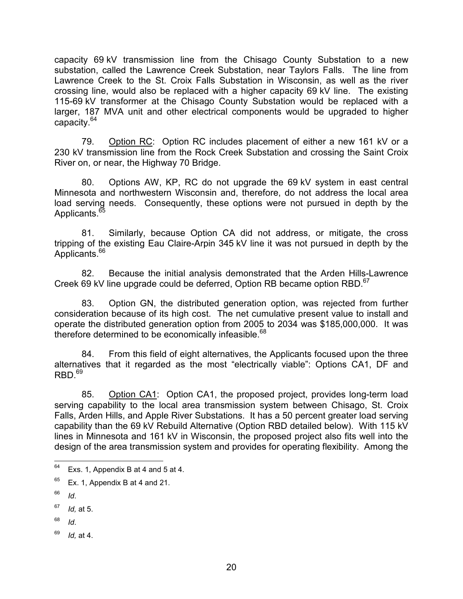capacity 69 kV transmission line from the Chisago County Substation to a new substation, called the Lawrence Creek Substation, near Taylors Falls. The line from Lawrence Creek to the St. Croix Falls Substation in Wisconsin, as well as the river crossing line, would also be replaced with a higher capacity 69 kV line. The existing 115-69 kV transformer at the Chisago County Substation would be replaced with a larger, 187 MVA unit and other electrical components would be upgraded to higher capacity.<sup>64</sup>

79. Option RC: Option RC includes placement of either a new 161 kV or a 230 kV transmission line from the Rock Creek Substation and crossing the Saint Croix River on, or near, the Highway 70 Bridge.

80. Options AW, KP, RC do not upgrade the 69 kV system in east central Minnesota and northwestern Wisconsin and, therefore, do not address the local area load serving needs. Consequently, these options were not pursued in depth by the Applicants.<sup>65</sup>

81. Similarly, because Option CA did not address, or mitigate, the cross tripping of the existing Eau Claire-Arpin 345 kV line it was not pursued in depth by the Applicants.<sup>66</sup>

82. Because the initial analysis demonstrated that the Arden Hills-Lawrence Creek 69 kV line upgrade could be deferred, Option RB became option RBD.<sup>67</sup>

83. Option GN, the distributed generation option, was rejected from further consideration because of its high cost. The net cumulative present value to install and operate the distributed generation option from 2005 to 2034 was \$185,000,000. It was therefore determined to be economically infeasible.<sup>68</sup>

84. From this field of eight alternatives, the Applicants focused upon the three alternatives that it regarded as the most "electrically viable": Options CA1, DF and  $RBD.69$ 

85. Option CA1: Option CA1, the proposed project, provides long-term load serving capability to the local area transmission system between Chisago, St. Croix Falls, Arden Hills, and Apple River Substations. It has a 50 percent greater load serving capability than the 69 kV Rebuild Alternative (Option RBD detailed below). With 115 kV lines in Minnesota and 161 kV in Wisconsin, the proposed project also fits well into the design of the area transmission system and provides for operating flexibility. Among the

- $68$  Id.
- $69$  *Id*, at 4.

<sup>64</sup> Exs. 1, Appendix B at 4 and 5 at 4.

 $65$  Ex. 1, Appendix B at 4 and 21.

 $66$  *Id.* 

 $67$  *Id.* at 5.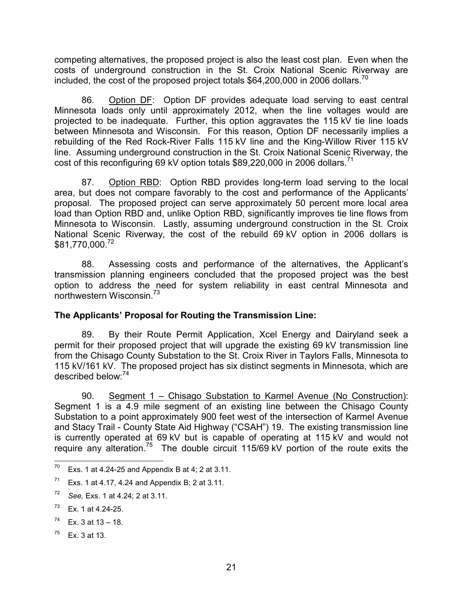competing alternatives, the proposed project is also the least cost plan. Even when the costs of underground construction in the St. Croix National Scenic Riverway are included, the cost of the proposed project totals \$64,200,000 in 2006 dollars.<sup>70</sup>

86. Option DF: Option DF provides adequate load serving to east central Minnesota loads only until approximately 2012, when the line voltages would are projected to be inadequate. Further, this option aggravates the 115 kV tie line loads between Minnesota and Wisconsin. For this reason, Option DF necessarily implies a rebuilding of the Red Rock-River Falls 115 kV line and the King-Willow River 115 kV line. Assuming underground construction in the St. Croix National Scenic Riverway, the cost of this reconfiguring 69 kV option totals  $$89,220,000$  in 2006 dollars.<sup>71</sup>

87. Option RBD: Option RBD provides long-term load serving to the local area, but does not compare favorably to the cost and performance of the Applicants' proposal. The proposed project can serve approximately 50 percent more local area load than Option RBD and, unlike Option RBD, significantly improves tie line flows from Minnesota to Wisconsin. Lastly, assuming underground construction in the St. Croix National Scenic Riverway, the cost of the rebuild 69 kV option in 2006 dollars is \$81,770,000.<sup>72</sup>

88. Assessing costs and performance of the alternatives, the Applicant's transmission planning engineers concluded that the proposed project was the best option to address the need for system reliability in east central Minnesota and northwestern Wisconsin.<sup>73</sup>

# The Applicants' Proposal for Routing the Transmission Line:

89. By their Route Permit Application, Xcel Energy and Dairyland seek a permit for their proposed project that will upgrade the existing 69 kV transmission line from the Chisago County Substation to the St. Croix River in Taylors Falls, Minnesota to 115 kV/161 kV. The proposed project has six distinct segments in Minnesota, which are described below:<sup>74</sup>

90. Segment 1 – Chisago Substation to Karmel Avenue (No Construction): Segment 1 is a 4.9 mile segment of an existing line between the Chisago County Substation to a point approximately 900 feet west of the intersection of Karmel Avenue and Stacy Trail - County State Aid Highway ("CSAH") 19. The existing transmission line is currently operated at 69 kV but is capable of operating at 115 kV and would not require any alteration.<sup>75</sup> The double circuit  $115/69$  kV portion of the route exits the

 $75$  Ex. 3 at 13.

 $70\,$ Exs. 1 at 4.24-25 and Appendix B at 4; 2 at 3.11.

 $71$  Exs. 1 at 4.17, 4.24 and Appendix B; 2 at 3.11.

 $72$  See, Exs. 1 at 4.24; 2 at 3.11.

 $73$  Ex. 1 at 4.24-25.

 $74$  Ex. 3 at 13 – 18.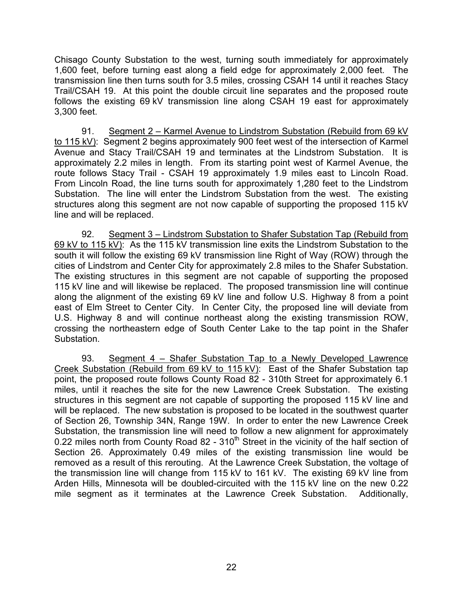Chisago County Substation to the west, turning south immediately for approximately 1,600 feet, before turning east along a field edge for approximately 2,000 feet. The transmission line then turns south for 3.5 miles, crossing CSAH 14 until it reaches Stacy Trail/CSAH 19. At this point the double circuit line separates and the proposed route follows the existing 69 kV transmission line along CSAH 19 east for approximately 3,300 feet.

91. Segment 2 – Karmel Avenue to Lindstrom Substation (Rebuild from 69 kV to 115 kV): Segment 2 begins approximately 900 feet west of the intersection of Karmel Avenue and Stacy Trail/CSAH 19 and terminates at the Lindstrom Substation. It is approximately 2.2 miles in length. From its starting point west of Karmel Avenue, the route follows Stacy Trail - CSAH 19 approximately 1.9 miles east to Lincoln Road. From Lincoln Road, the line turns south for approximately 1,280 feet to the Lindstrom Substation. The line will enter the Lindstrom Substation from the west. The existing structures along this segment are not now capable of supporting the proposed 115 kV line and will be replaced.

92. Segment 3 – Lindstrom Substation to Shafer Substation Tap (Rebuild from 69 kV to 115 kV): As the 115 kV transmission line exits the Lindstrom Substation to the south it will follow the existing 69 kV transmission line Right of Way (ROW) through the cities of Lindstrom and Center City for approximately 2.8 miles to the Shafer Substation. The existing structures in this segment are not capable of supporting the proposed 115 kV line and will likewise be replaced. The proposed transmission line will continue along the alignment of the existing 69 kV line and follow U.S. Highway 8 from a point east of Elm Street to Center City. In Center City, the proposed line will deviate from U.S. Highway 8 and will continue northeast along the existing transmission ROW, crossing the northeastern edge of South Center Lake to the tap point in the Shafer Substation.

93. Segment 4 – Shafer Substation Tap to a Newly Developed Lawrence Creek Substation (Rebuild from 69 kV to 115 kV): East of the Shafer Substation tap point, the proposed route follows County Road 82 - 310th Street for approximately 6.1 miles, until it reaches the site for the new Lawrence Creek Substation. The existing structures in this segment are not capable of supporting the proposed 115 kV line and will be replaced. The new substation is proposed to be located in the southwest quarter of Section 26, Township 34N, Range 19W. In order to enter the new Lawrence Creek Substation, the transmission line will need to follow a new alignment for approximately 0.22 miles north from County Road 82 - 310<sup>th</sup> Street in the vicinity of the half section of Section 26. Approximately 0.49 miles of the existing transmission line would be removed as a result of this rerouting. At the Lawrence Creek Substation, the voltage of the transmission line will change from 115 kV to 161 kV. The existing 69 kV line from Arden Hills, Minnesota will be doubled-circuited with the 115 kV line on the new 0.22 mile segment as it terminates at the Lawrence Creek Substation. Additionally,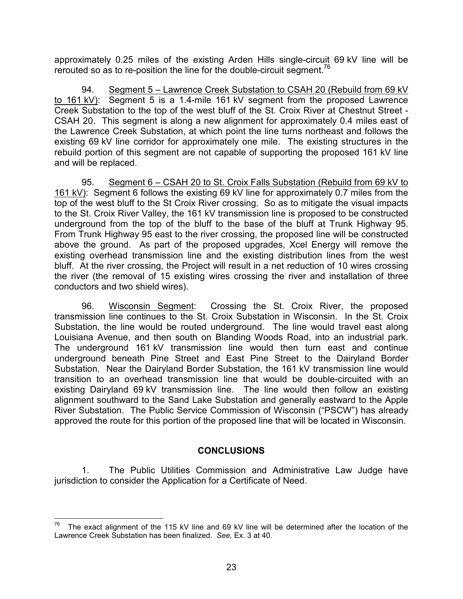approximately 0.25 miles of the existing Arden Hills single-circuit 69 kV line will be rerouted so as to re-position the line for the double-circuit segment.<sup>76</sup>

94. Segment 5 – Lawrence Creek Substation to CSAH 20 (Rebuild from 69 kV to 161 kV): Segment 5 is a 1.4-mile 161 kV segment from the proposed Lawrence Creek Substation to the top of the west bluff of the St. Croix River at Chestnut Street - CSAH 20. This segment is along a new alignment for approximately 0.4 miles east of the Lawrence Creek Substation, at which point the line turns northeast and follows the existing 69 kV line corridor for approximately one mile. The existing structures in the rebuild portion of this segment are not capable of supporting the proposed 161 kV line and will be replaced.

95. Segment 6 – CSAH 20 to St. Croix Falls Substation (Rebuild from 69 kV to 161 kV): Segment 6 follows the existing 69 kV line for approximately 0.7 miles from the top of the west bluff to the St Croix River crossing. So as to mitigate the visual impacts to the St. Croix River Valley, the 161 kV transmission line is proposed to be constructed underground from the top of the bluff to the base of the bluff at Trunk Highway 95. From Trunk Highway 95 east to the river crossing, the proposed line will be constructed above the ground. As part of the proposed upgrades, Xcel Energy will remove the existing overhead transmission line and the existing distribution lines from the west bluff. At the river crossing, the Project will result in a net reduction of 10 wires crossing the river (the removal of 15 existing wires crossing the river and installation of three conductors and two shield wires).

96. Wisconsin Segment: Crossing the St. Croix River, the proposed transmission line continues to the St. Croix Substation in Wisconsin. In the St. Croix Substation, the line would be routed underground. The line would travel east along Louisiana Avenue, and then south on Blanding Woods Road, into an industrial park. The underground 161 kV transmission line would then turn east and continue underground beneath Pine Street and East Pine Street to the Dairyland Border Substation. Near the Dairyland Border Substation, the 161 kV transmission line would transition to an overhead transmission line that would be double-circuited with an existing Dairyland 69 kV transmission line. The line would then follow an existing alignment southward to the Sand Lake Substation and generally eastward to the Apple River Substation. The Public Service Commission of Wisconsin ("PSCW") has already approved the route for this portion of the proposed line that will be located in Wisconsin.

### **CONCLUSIONS**

1. The Public Utilities Commission and Administrative Law Judge have jurisdiction to consider the Application for a Certificate of Need.

 The exact alignment of the 115 kV line and 69 kV line will be determined after the location of the Lawrence Creek Substation has been finalized. See, Ex. 3 at 40.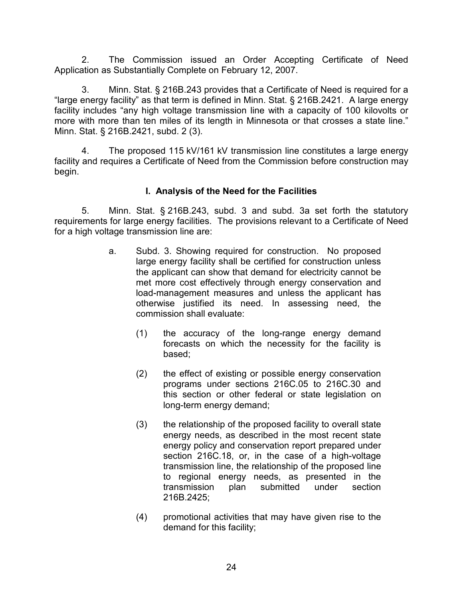2. The Commission issued an Order Accepting Certificate of Need Application as Substantially Complete on February 12, 2007.

3. Minn. Stat. § 216B.243 provides that a Certificate of Need is required for a "large energy facility" as that term is defined in Minn. Stat. § 216B.2421. A large energy facility includes "any high voltage transmission line with a capacity of 100 kilovolts or more with more than ten miles of its length in Minnesota or that crosses a state line." Minn. Stat. § 216B.2421, subd. 2 (3).

4. The proposed 115 kV/161 kV transmission line constitutes a large energy facility and requires a Certificate of Need from the Commission before construction may begin.

# I. Analysis of the Need for the Facilities

5. Minn. Stat. § 216B.243, subd. 3 and subd. 3a set forth the statutory requirements for large energy facilities. The provisions relevant to a Certificate of Need for a high voltage transmission line are:

- a. Subd. 3. Showing required for construction. No proposed large energy facility shall be certified for construction unless the applicant can show that demand for electricity cannot be met more cost effectively through energy conservation and load-management measures and unless the applicant has otherwise justified its need. In assessing need, the commission shall evaluate:
	- (1) the accuracy of the long-range energy demand forecasts on which the necessity for the facility is based;
	- (2) the effect of existing or possible energy conservation programs under sections 216C.05 to 216C.30 and this section or other federal or state legislation on long-term energy demand;
	- (3) the relationship of the proposed facility to overall state energy needs, as described in the most recent state energy policy and conservation report prepared under section 216C.18, or, in the case of a high-voltage transmission line, the relationship of the proposed line to regional energy needs, as presented in the transmission plan submitted under section 216B.2425;
	- (4) promotional activities that may have given rise to the demand for this facility;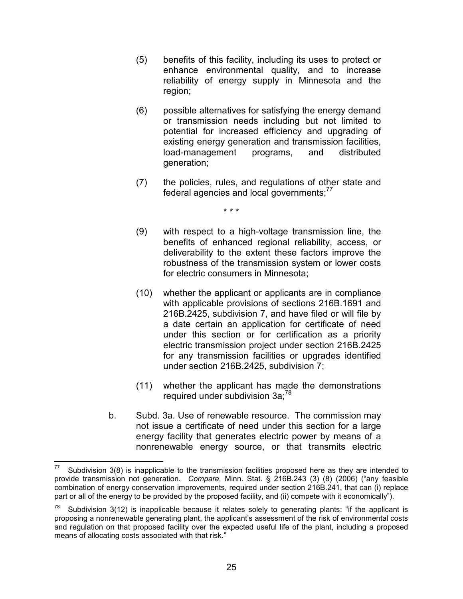- (5) benefits of this facility, including its uses to protect or enhance environmental quality, and to increase reliability of energy supply in Minnesota and the region;
- (6) possible alternatives for satisfying the energy demand or transmission needs including but not limited to potential for increased efficiency and upgrading of existing energy generation and transmission facilities, load-management programs, and distributed generation;
- (7) the policies, rules, and regulations of other state and federal agencies and local governments; $^{77}$

\* \* \*

- (9) with respect to a high-voltage transmission line, the benefits of enhanced regional reliability, access, or deliverability to the extent these factors improve the robustness of the transmission system or lower costs for electric consumers in Minnesota;
- (10) whether the applicant or applicants are in compliance with applicable provisions of sections 216B.1691 and 216B.2425, subdivision 7, and have filed or will file by a date certain an application for certificate of need under this section or for certification as a priority electric transmission project under section 216B.2425 for any transmission facilities or upgrades identified under section 216B.2425, subdivision 7;
- (11) whether the applicant has made the demonstrations required under subdivision 3a;<sup>78</sup>
- b. Subd. 3a. Use of renewable resource. The commission may not issue a certificate of need under this section for a large energy facility that generates electric power by means of a nonrenewable energy source, or that transmits electric

-

Subdivision 3(8) is inapplicable to the transmission facilities proposed here as they are intended to provide transmission not generation. Compare, Minn. Stat. § 216B.243 (3) (8) (2006) ("any feasible combination of energy conservation improvements, required under section 216B.241, that can (i) replace part or all of the energy to be provided by the proposed facility, and (ii) compete with it economically").

<sup>&</sup>lt;sup>78</sup> Subdivision 3(12) is inapplicable because it relates solely to generating plants: "if the applicant is proposing a nonrenewable generating plant, the applicant's assessment of the risk of environmental costs and regulation on that proposed facility over the expected useful life of the plant, including a proposed means of allocating costs associated with that risk."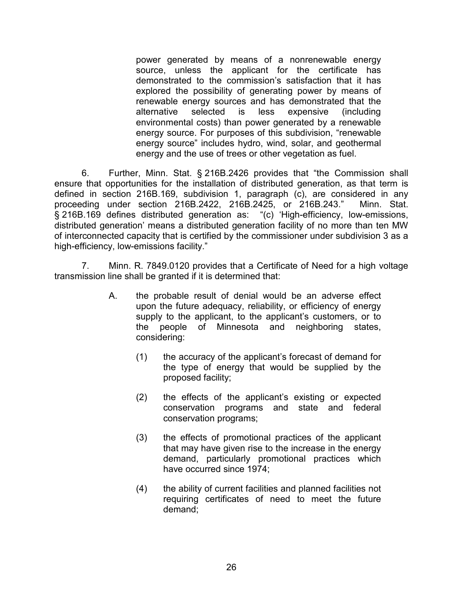power generated by means of a nonrenewable energy source, unless the applicant for the certificate has demonstrated to the commission's satisfaction that it has explored the possibility of generating power by means of renewable energy sources and has demonstrated that the alternative selected is less expensive (including environmental costs) than power generated by a renewable energy source. For purposes of this subdivision, "renewable energy source" includes hydro, wind, solar, and geothermal energy and the use of trees or other vegetation as fuel.

6. Further, Minn. Stat. § 216B.2426 provides that "the Commission shall ensure that opportunities for the installation of distributed generation, as that term is defined in section 216B.169, subdivision 1, paragraph (c), are considered in any proceeding under section 216B.2422, 216B.2425, or 216B.243." Minn. Stat. § 216B.169 defines distributed generation as: "(c) 'High-efficiency, low-emissions, distributed generation' means a distributed generation facility of no more than ten MW of interconnected capacity that is certified by the commissioner under subdivision 3 as a high-efficiency, low-emissions facility."

7. Minn. R. 7849.0120 provides that a Certificate of Need for a high voltage transmission line shall be granted if it is determined that:

- A. the probable result of denial would be an adverse effect upon the future adequacy, reliability, or efficiency of energy supply to the applicant, to the applicant's customers, or to the people of Minnesota and neighboring states, considering:
	- (1) the accuracy of the applicant's forecast of demand for the type of energy that would be supplied by the proposed facility;
	- (2) the effects of the applicant's existing or expected conservation programs and state and federal conservation programs;
	- (3) the effects of promotional practices of the applicant that may have given rise to the increase in the energy demand, particularly promotional practices which have occurred since 1974;
	- (4) the ability of current facilities and planned facilities not requiring certificates of need to meet the future demand;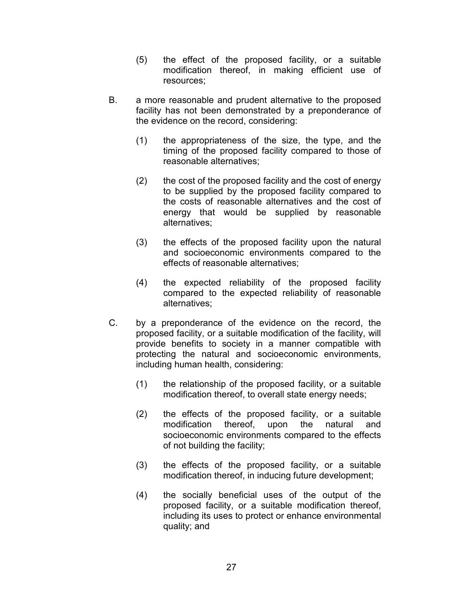- (5) the effect of the proposed facility, or a suitable modification thereof, in making efficient use of resources;
- B. a more reasonable and prudent alternative to the proposed facility has not been demonstrated by a preponderance of the evidence on the record, considering:
	- (1) the appropriateness of the size, the type, and the timing of the proposed facility compared to those of reasonable alternatives;
	- (2) the cost of the proposed facility and the cost of energy to be supplied by the proposed facility compared to the costs of reasonable alternatives and the cost of energy that would be supplied by reasonable alternatives;
	- (3) the effects of the proposed facility upon the natural and socioeconomic environments compared to the effects of reasonable alternatives;
	- (4) the expected reliability of the proposed facility compared to the expected reliability of reasonable alternatives;
- C. by a preponderance of the evidence on the record, the proposed facility, or a suitable modification of the facility, will provide benefits to society in a manner compatible with protecting the natural and socioeconomic environments, including human health, considering:
	- (1) the relationship of the proposed facility, or a suitable modification thereof, to overall state energy needs;
	- (2) the effects of the proposed facility, or a suitable modification thereof, upon the natural and socioeconomic environments compared to the effects of not building the facility;
	- (3) the effects of the proposed facility, or a suitable modification thereof, in inducing future development;
	- (4) the socially beneficial uses of the output of the proposed facility, or a suitable modification thereof, including its uses to protect or enhance environmental quality; and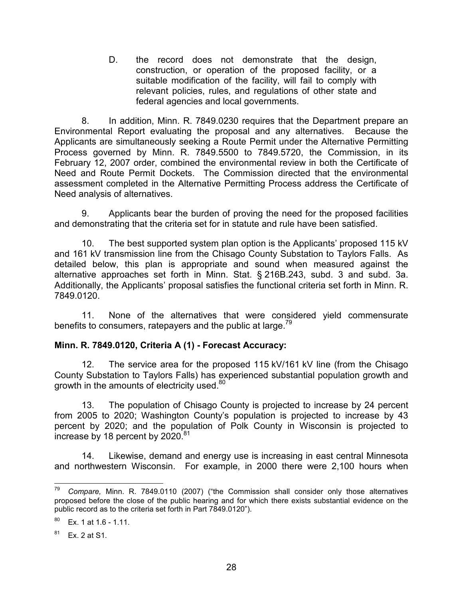D. the record does not demonstrate that the design, construction, or operation of the proposed facility, or a suitable modification of the facility, will fail to comply with relevant policies, rules, and regulations of other state and federal agencies and local governments.

8. In addition, Minn. R. 7849.0230 requires that the Department prepare an Environmental Report evaluating the proposal and any alternatives. Because the Applicants are simultaneously seeking a Route Permit under the Alternative Permitting Process governed by Minn. R. 7849.5500 to 7849.5720, the Commission, in its February 12, 2007 order, combined the environmental review in both the Certificate of Need and Route Permit Dockets. The Commission directed that the environmental assessment completed in the Alternative Permitting Process address the Certificate of Need analysis of alternatives.

9. Applicants bear the burden of proving the need for the proposed facilities and demonstrating that the criteria set for in statute and rule have been satisfied.

10. The best supported system plan option is the Applicants' proposed 115 kV and 161 kV transmission line from the Chisago County Substation to Taylors Falls. As detailed below, this plan is appropriate and sound when measured against the alternative approaches set forth in Minn. Stat. § 216B.243, subd. 3 and subd. 3a. Additionally, the Applicants' proposal satisfies the functional criteria set forth in Minn. R. 7849.0120.

11. None of the alternatives that were considered yield commensurate benefits to consumers, ratepayers and the public at large.<sup>79</sup>

### Minn. R. 7849.0120, Criteria A (1) - Forecast Accuracy:

12. The service area for the proposed 115 kV/161 kV line (from the Chisago County Substation to Taylors Falls) has experienced substantial population growth and growth in the amounts of electricity used.<sup>80</sup>

13. The population of Chisago County is projected to increase by 24 percent from 2005 to 2020; Washington County's population is projected to increase by 43 percent by 2020; and the population of Polk County in Wisconsin is projected to increase by 18 percent by 2020.<sup>81</sup>

14. Likewise, demand and energy use is increasing in east central Minnesota and northwestern Wisconsin. For example, in 2000 there were 2,100 hours when

 $81$  Ex. 2 at S1.

 $\overline{a}$ Compare, Minn. R. 7849.0110 (2007) ("the Commission shall consider only those alternatives proposed before the close of the public hearing and for which there exists substantial evidence on the public record as to the criteria set forth in Part 7849.0120").

 $80$  Ex. 1 at 1.6 - 1.11.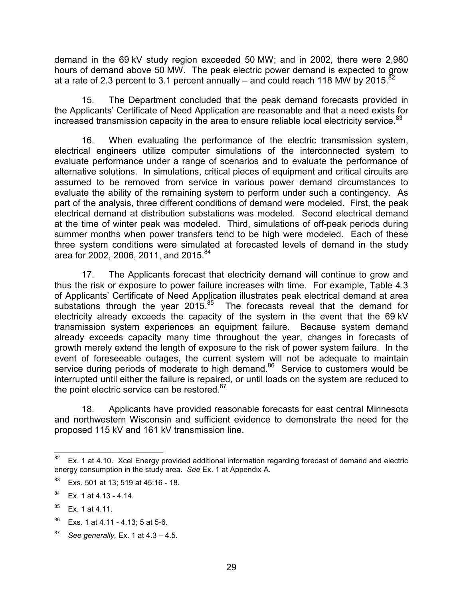demand in the 69 kV study region exceeded 50 MW; and in 2002, there were 2,980 hours of demand above 50 MW. The peak electric power demand is expected to grow at a rate of 2.3 percent to 3.1 percent annually – and could reach 118 MW by 2015.<sup>82</sup>

15. The Department concluded that the peak demand forecasts provided in the Applicants' Certificate of Need Application are reasonable and that a need exists for increased transmission capacity in the area to ensure reliable local electricity service.<sup>83</sup>

16. When evaluating the performance of the electric transmission system, electrical engineers utilize computer simulations of the interconnected system to evaluate performance under a range of scenarios and to evaluate the performance of alternative solutions. In simulations, critical pieces of equipment and critical circuits are assumed to be removed from service in various power demand circumstances to evaluate the ability of the remaining system to perform under such a contingency. As part of the analysis, three different conditions of demand were modeled. First, the peak electrical demand at distribution substations was modeled. Second electrical demand at the time of winter peak was modeled. Third, simulations of off-peak periods during summer months when power transfers tend to be high were modeled. Each of these three system conditions were simulated at forecasted levels of demand in the study area for 2002, 2006, 2011, and 2015.<sup>84</sup>

17. The Applicants forecast that electricity demand will continue to grow and thus the risk or exposure to power failure increases with time. For example, Table 4.3 of Applicants' Certificate of Need Application illustrates peak electrical demand at area substations through the year  $2015^{85}$  The forecasts reveal that the demand for electricity already exceeds the capacity of the system in the event that the 69 kV transmission system experiences an equipment failure. Because system demand already exceeds capacity many time throughout the year, changes in forecasts of growth merely extend the length of exposure to the risk of power system failure. In the event of foreseeable outages, the current system will not be adequate to maintain service during periods of moderate to high demand.<sup>86</sup> Service to customers would be interrupted until either the failure is repaired, or until loads on the system are reduced to the point electric service can be restored. $87$ 

18. Applicants have provided reasonable forecasts for east central Minnesota and northwestern Wisconsin and sufficient evidence to demonstrate the need for the proposed 115 kV and 161 kV transmission line.

<sup>82</sup> Ex. 1 at 4.10. Xcel Energy provided additional information regarding forecast of demand and electric energy consumption in the study area. See Ex. 1 at Appendix A.

<sup>&</sup>lt;sup>83</sup> Exs. 501 at 13; 519 at 45:16 - 18.

 $84$  Ex. 1 at 4.13 - 4.14.

 $85$  Ex. 1 at 4.11.

<sup>86</sup> Exs. 1 at 4.11 - 4.13; 5 at 5-6.

 $87$  See generally, Ex. 1 at 4.3 – 4.5.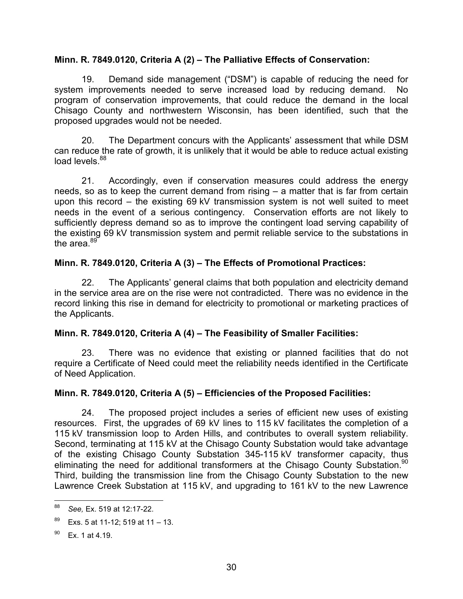### Minn. R. 7849.0120, Criteria A (2) – The Palliative Effects of Conservation:

19. Demand side management ("DSM") is capable of reducing the need for system improvements needed to serve increased load by reducing demand. No program of conservation improvements, that could reduce the demand in the local Chisago County and northwestern Wisconsin, has been identified, such that the proposed upgrades would not be needed.

20. The Department concurs with the Applicants' assessment that while DSM can reduce the rate of growth, it is unlikely that it would be able to reduce actual existing load levels.<sup>88</sup>

21. Accordingly, even if conservation measures could address the energy needs, so as to keep the current demand from rising – a matter that is far from certain upon this record – the existing 69 kV transmission system is not well suited to meet needs in the event of a serious contingency. Conservation efforts are not likely to sufficiently depress demand so as to improve the contingent load serving capability of the existing 69 kV transmission system and permit reliable service to the substations in the area.<sup>89</sup>

### Minn. R. 7849.0120, Criteria A (3) – The Effects of Promotional Practices:

22. The Applicants' general claims that both population and electricity demand in the service area are on the rise were not contradicted. There was no evidence in the record linking this rise in demand for electricity to promotional or marketing practices of the Applicants.

# Minn. R. 7849.0120, Criteria A (4) – The Feasibility of Smaller Facilities:

23. There was no evidence that existing or planned facilities that do not require a Certificate of Need could meet the reliability needs identified in the Certificate of Need Application.

# Minn. R. 7849.0120, Criteria A (5) – Efficiencies of the Proposed Facilities:

24. The proposed project includes a series of efficient new uses of existing resources. First, the upgrades of 69 kV lines to 115 kV facilitates the completion of a 115 kV transmission loop to Arden Hills, and contributes to overall system reliability. Second, terminating at 115 kV at the Chisago County Substation would take advantage of the existing Chisago County Substation 345-115 kV transformer capacity, thus eliminating the need for additional transformers at the Chisago County Substation.<sup>90</sup> Third, building the transmission line from the Chisago County Substation to the new Lawrence Creek Substation at 115 kV, and upgrading to 161 kV to the new Lawrence

<sup>88</sup> See, Ex. 519 at 12:17-22.

 $89$  Exs. 5 at 11-12; 519 at 11 – 13.

 $90$  Ex. 1 at 4.19.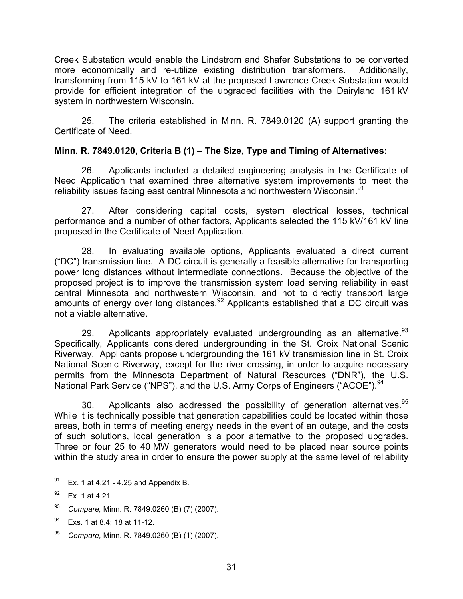Creek Substation would enable the Lindstrom and Shafer Substations to be converted more economically and re-utilize existing distribution transformers. Additionally, transforming from 115 kV to 161 kV at the proposed Lawrence Creek Substation would provide for efficient integration of the upgraded facilities with the Dairyland 161 kV system in northwestern Wisconsin.

25. The criteria established in Minn. R. 7849.0120 (A) support granting the Certificate of Need.

### Minn. R. 7849.0120, Criteria B (1) – The Size, Type and Timing of Alternatives:

26. Applicants included a detailed engineering analysis in the Certificate of Need Application that examined three alternative system improvements to meet the reliability issues facing east central Minnesota and northwestern Wisconsin.<sup>91</sup>

27. After considering capital costs, system electrical losses, technical performance and a number of other factors, Applicants selected the 115 kV/161 kV line proposed in the Certificate of Need Application.

28. In evaluating available options, Applicants evaluated a direct current ("DC") transmission line. A DC circuit is generally a feasible alternative for transporting power long distances without intermediate connections. Because the objective of the proposed project is to improve the transmission system load serving reliability in east central Minnesota and northwestern Wisconsin, and not to directly transport large amounts of energy over long distances,  $92$  Applicants established that a DC circuit was not a viable alternative.

29. Applicants appropriately evaluated undergrounding as an alternative. $93$ Specifically, Applicants considered undergrounding in the St. Croix National Scenic Riverway. Applicants propose undergrounding the 161 kV transmission line in St. Croix National Scenic Riverway, except for the river crossing, in order to acquire necessary permits from the Minnesota Department of Natural Resources ("DNR"), the U.S. National Park Service ("NPS"), and the U.S. Army Corps of Engineers ("ACOE").<sup>94</sup>

30. Applicants also addressed the possibility of generation alternatives.  $95$ While it is technically possible that generation capabilities could be located within those areas, both in terms of meeting energy needs in the event of an outage, and the costs of such solutions, local generation is a poor alternative to the proposed upgrades. Three or four 25 to 40 MW generators would need to be placed near source points within the study area in order to ensure the power supply at the same level of reliability

 $^{95}$  Compare, Minn. R. 7849.0260 (B) (1) (2007).

<sup>91</sup> Ex. 1 at 4.21 - 4.25 and Appendix B.

 $92$  Ex. 1 at 4.21.

<sup>93</sup> Compare, Minn. R. 7849.0260 (B) (7) (2007).

<sup>&</sup>lt;sup>94</sup> Exs. 1 at 8.4; 18 at 11-12.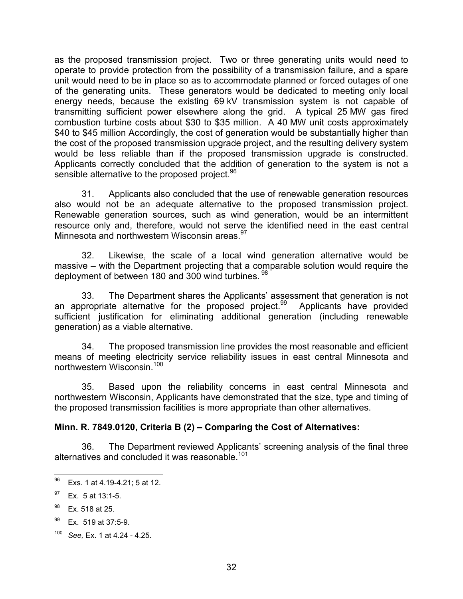as the proposed transmission project. Two or three generating units would need to operate to provide protection from the possibility of a transmission failure, and a spare unit would need to be in place so as to accommodate planned or forced outages of one of the generating units. These generators would be dedicated to meeting only local energy needs, because the existing 69 kV transmission system is not capable of transmitting sufficient power elsewhere along the grid. A typical 25 MW gas fired combustion turbine costs about \$30 to \$35 million. A 40 MW unit costs approximately \$40 to \$45 million Accordingly, the cost of generation would be substantially higher than the cost of the proposed transmission upgrade project, and the resulting delivery system would be less reliable than if the proposed transmission upgrade is constructed. Applicants correctly concluded that the addition of generation to the system is not a sensible alternative to the proposed project.<sup>96</sup>

31. Applicants also concluded that the use of renewable generation resources also would not be an adequate alternative to the proposed transmission project. Renewable generation sources, such as wind generation, would be an intermittent resource only and, therefore, would not serve the identified need in the east central Minnesota and northwestern Wisconsin areas.<sup>97</sup>

32. Likewise, the scale of a local wind generation alternative would be massive – with the Department projecting that a comparable solution would require the deployment of between 180 and 300 wind turbines. 98

33. The Department shares the Applicants' assessment that generation is not an appropriate alternative for the proposed project.<sup>99</sup> Applicants have provided sufficient justification for eliminating additional generation (including renewable generation) as a viable alternative.

34. The proposed transmission line provides the most reasonable and efficient means of meeting electricity service reliability issues in east central Minnesota and northwestern Wisconsin.<sup>100</sup>

35. Based upon the reliability concerns in east central Minnesota and northwestern Wisconsin, Applicants have demonstrated that the size, type and timing of the proposed transmission facilities is more appropriate than other alternatives.

# Minn. R. 7849.0120, Criteria B (2) – Comparing the Cost of Alternatives:

36. The Department reviewed Applicants' screening analysis of the final three alternatives and concluded it was reasonable.<sup>101</sup>

<sup>96</sup> Exs. 1 at 4.19-4.21; 5 at 12.

 $97$  Ex. 5 at 13:1-5.

 $98$  Ex. 518 at 25.

<sup>99</sup> Ex. 519 at 37:5-9.

 $100$  See, Ex. 1 at 4.24 - 4.25.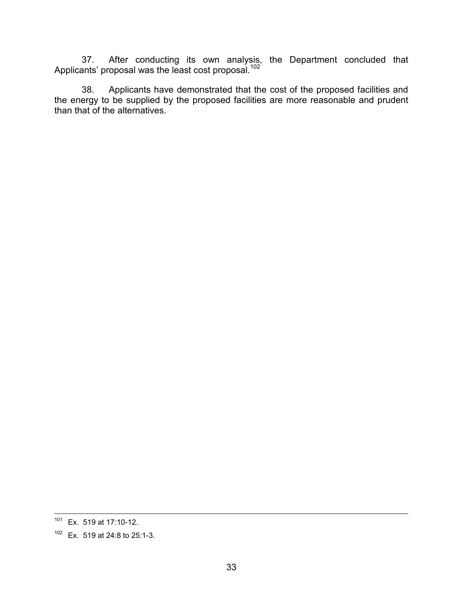37. After conducting its own analysis, the Department concluded that Applicants' proposal was the least cost proposal.<sup>102</sup>

38. Applicants have demonstrated that the cost of the proposed facilities and the energy to be supplied by the proposed facilities are more reasonable and prudent than that of the alternatives.

<sup>-</sup> $101$  Ex. 519 at 17:10-12.

<sup>102</sup> Ex. 519 at 24:8 to 25:1-3.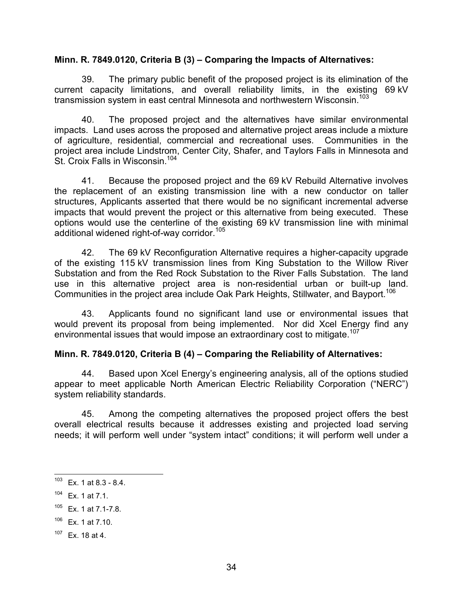#### Minn. R. 7849.0120, Criteria B (3) – Comparing the Impacts of Alternatives:

39. The primary public benefit of the proposed project is its elimination of the current capacity limitations, and overall reliability limits, in the existing 69 kV transmission system in east central Minnesota and northwestern Wisconsin.<sup>103</sup>

40. The proposed project and the alternatives have similar environmental impacts. Land uses across the proposed and alternative project areas include a mixture of agriculture, residential, commercial and recreational uses. Communities in the project area include Lindstrom, Center City, Shafer, and Taylors Falls in Minnesota and St. Croix Falls in Wisconsin.<sup>104</sup>

41. Because the proposed project and the 69 kV Rebuild Alternative involves the replacement of an existing transmission line with a new conductor on taller structures, Applicants asserted that there would be no significant incremental adverse impacts that would prevent the project or this alternative from being executed. These options would use the centerline of the existing 69 kV transmission line with minimal additional widened right-of-way corridor.<sup>105</sup>

42. The 69 kV Reconfiguration Alternative requires a higher-capacity upgrade of the existing 115 kV transmission lines from King Substation to the Willow River Substation and from the Red Rock Substation to the River Falls Substation. The land use in this alternative project area is non-residential urban or built-up land. Communities in the project area include Oak Park Heights, Stillwater, and Bayport.<sup>106</sup>

43. Applicants found no significant land use or environmental issues that would prevent its proposal from being implemented. Nor did Xcel Energy find any environmental issues that would impose an extraordinary cost to mitigate.<sup>107</sup>

### Minn. R. 7849.0120, Criteria B (4) – Comparing the Reliability of Alternatives:

44. Based upon Xcel Energy's engineering analysis, all of the options studied appear to meet applicable North American Electric Reliability Corporation ("NERC") system reliability standards.

45. Among the competing alternatives the proposed project offers the best overall electrical results because it addresses existing and projected load serving needs; it will perform well under "system intact" conditions; it will perform well under a

<sup>103</sup> Ex. 1 at 8.3 - 8.4.

 $104$  Ex. 1 at 7.1.

 $105$  Ex. 1 at 7.1-7.8.

 $106$  Ex. 1 at 7.10.

 $107$  Ex. 18 at 4.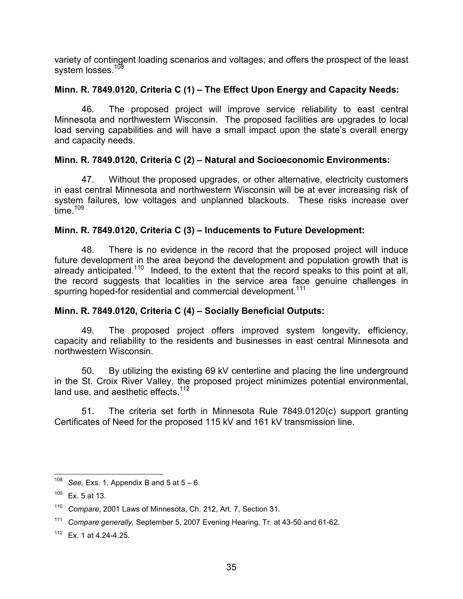variety of contingent loading scenarios and voltages; and offers the prospect of the least system losses.<sup>108</sup>

### Minn. R. 7849.0120, Criteria C (1) – The Effect Upon Energy and Capacity Needs:

46. The proposed project will improve service reliability to east central Minnesota and northwestern Wisconsin. The proposed facilities are upgrades to local load serving capabilities and will have a small impact upon the state's overall energy and capacity needs.

### Minn. R. 7849.0120, Criteria C (2) – Natural and Socioeconomic Environments:

47. Without the proposed upgrades, or other alternative, electricity customers in east central Minnesota and northwestern Wisconsin will be at ever increasing risk of system failures, low voltages and unplanned blackouts. These risks increase over time. $109$ 

### Minn. R. 7849.0120, Criteria C (3) – Inducements to Future Development:

48. There is no evidence in the record that the proposed project will induce future development in the area beyond the development and population growth that is already anticipated.<sup>110</sup> Indeed, to the extent that the record speaks to this point at all, the record suggests that localities in the service area face genuine challenges in spurring hoped-for residential and commercial development.<sup>111</sup>

# Minn. R. 7849.0120, Criteria C (4) – Socially Beneficial Outputs:

49. The proposed project offers improved system longevity, efficiency, capacity and reliability to the residents and businesses in east central Minnesota and northwestern Wisconsin.

50. By utilizing the existing 69 kV centerline and placing the line underground in the St. Croix River Valley, the proposed project minimizes potential environmental, land use, and aesthetic effects. $112$ 

51. The criteria set forth in Minnesota Rule 7849.0120(c) support granting Certificates of Need for the proposed 115 kV and 161 kV transmission line.

<sup>108</sup> See, Exs. 1, Appendix B and  $5$  at  $5 - 6$ .

 $109$  Ex. 5 at 13.

Compare, 2001 Laws of Minnesota, Ch. 212, Art. 7, Section 31.

<sup>111</sup> Compare generally, September 5, 2007 Evening Hearing, Tr. at 43-50 and 61-62.

<sup>112</sup> Ex. 1 at 4.24-4.25.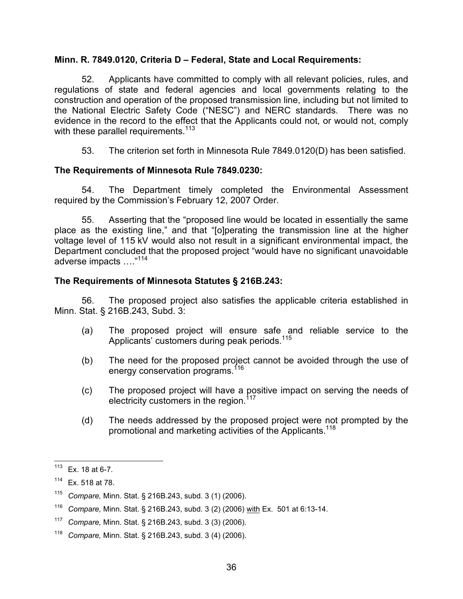#### Minn. R. 7849.0120, Criteria D – Federal, State and Local Requirements:

52. Applicants have committed to comply with all relevant policies, rules, and regulations of state and federal agencies and local governments relating to the construction and operation of the proposed transmission line, including but not limited to the National Electric Safety Code ("NESC") and NERC standards. There was no evidence in the record to the effect that the Applicants could not, or would not, comply with these parallel requirements.<sup>113</sup>

53. The criterion set forth in Minnesota Rule 7849.0120(D) has been satisfied.

#### The Requirements of Minnesota Rule 7849.0230:

54. The Department timely completed the Environmental Assessment required by the Commission's February 12, 2007 Order.

55. Asserting that the "proposed line would be located in essentially the same place as the existing line," and that "[o]perating the transmission line at the higher voltage level of 115 kV would also not result in a significant environmental impact, the Department concluded that the proposed project "would have no significant unavoidable adverse impacts …."<sup>114</sup>

#### The Requirements of Minnesota Statutes § 216B.243:

56. The proposed project also satisfies the applicable criteria established in Minn. Stat. § 216B.243, Subd. 3:

- (a) The proposed project will ensure safe and reliable service to the Applicants' customers during peak periods.<sup>115</sup>
- (b) The need for the proposed project cannot be avoided through the use of energy conservation programs.<sup>116</sup>
- (c) The proposed project will have a positive impact on serving the needs of electricity customers in the region.<sup>117</sup>
- (d) The needs addressed by the proposed project were not prompted by the promotional and marketing activities of the Applicants.<sup>118</sup>

<sup>113</sup> Ex. 18 at 6-7.

<sup>114</sup> Ex. 518 at 78.

<sup>115</sup> Compare, Minn. Stat. § 216B.243, subd. 3 (1) (2006).

<sup>&</sup>lt;sup>116</sup> Compare, Minn. Stat. § 216B.243, subd. 3 (2) (2006) with Ex. 501 at 6:13-14.

<sup>117</sup> Compare, Minn. Stat. § 216B.243, subd. 3 (3) (2006).

<sup>118</sup> Compare, Minn. Stat. § 216B.243, subd. 3 (4) (2006).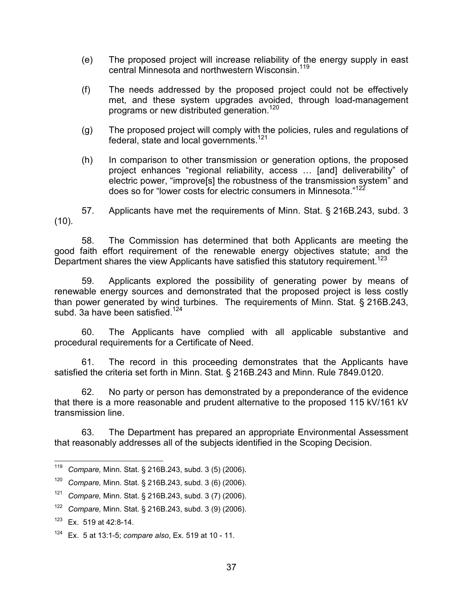- (e) The proposed project will increase reliability of the energy supply in east central Minnesota and northwestern Wisconsin.<sup>119</sup>
- (f) The needs addressed by the proposed project could not be effectively met, and these system upgrades avoided, through load-management programs or new distributed generation.<sup>120</sup>
- (g) The proposed project will comply with the policies, rules and regulations of federal, state and local governments.<sup>121</sup>
- (h) In comparison to other transmission or generation options, the proposed project enhances "regional reliability, access … [and] deliverability" of electric power, "improve[s] the robustness of the transmission system" and does so for "lower costs for electric consumers in Minnesota."<sup>122</sup>

57. Applicants have met the requirements of Minn. Stat. § 216B.243, subd. 3 (10).

58. The Commission has determined that both Applicants are meeting the good faith effort requirement of the renewable energy objectives statute; and the Department shares the view Applicants have satisfied this statutory requirement.<sup>123</sup>

59. Applicants explored the possibility of generating power by means of renewable energy sources and demonstrated that the proposed project is less costly than power generated by wind turbines. The requirements of Minn. Stat. § 216B.243, subd. 3a have been satisfied.<sup>124</sup>

60. The Applicants have complied with all applicable substantive and procedural requirements for a Certificate of Need.

61. The record in this proceeding demonstrates that the Applicants have satisfied the criteria set forth in Minn. Stat. § 216B.243 and Minn. Rule 7849.0120.

62. No party or person has demonstrated by a preponderance of the evidence that there is a more reasonable and prudent alternative to the proposed 115 kV/161 kV transmission line.

63. The Department has prepared an appropriate Environmental Assessment that reasonably addresses all of the subjects identified in the Scoping Decision.

<sup>119</sup> Compare, Minn. Stat. § 216B.243, subd. 3 (5) (2006).

<sup>120</sup> Compare, Minn. Stat. § 216B.243, subd. 3 (6) (2006).

 $121$  Compare, Minn. Stat. § 216B.243, subd. 3 (7) (2006).

<sup>122</sup> Compare, Minn. Stat. § 216B.243, subd. 3 (9) (2006).

 $123$  Ex. 519 at 42:8-14.

 $124$  Ex. 5 at 13:1-5; compare also, Ex. 519 at 10 - 11.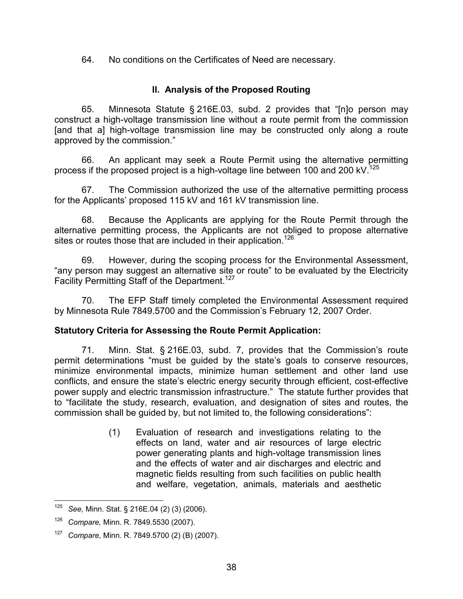64. No conditions on the Certificates of Need are necessary.

# II. Analysis of the Proposed Routing

65. Minnesota Statute § 216E.03, subd. 2 provides that "[n]o person may construct a high-voltage transmission line without a route permit from the commission [and that a] high-voltage transmission line may be constructed only along a route approved by the commission."

66. An applicant may seek a Route Permit using the alternative permitting process if the proposed project is a high-voltage line between 100 and 200 kV.<sup>125</sup>

67. The Commission authorized the use of the alternative permitting process for the Applicants' proposed 115 kV and 161 kV transmission line.

68. Because the Applicants are applying for the Route Permit through the alternative permitting process, the Applicants are not obliged to propose alternative sites or routes those that are included in their application.<sup>126</sup>

69. However, during the scoping process for the Environmental Assessment, "any person may suggest an alternative site or route" to be evaluated by the Electricity Facility Permitting Staff of the Department.<sup>127</sup>

70. The EFP Staff timely completed the Environmental Assessment required by Minnesota Rule 7849.5700 and the Commission's February 12, 2007 Order.

# Statutory Criteria for Assessing the Route Permit Application:

71. Minn. Stat. § 216E.03, subd. 7, provides that the Commission's route permit determinations "must be guided by the state's goals to conserve resources, minimize environmental impacts, minimize human settlement and other land use conflicts, and ensure the state's electric energy security through efficient, cost-effective power supply and electric transmission infrastructure." The statute further provides that to "facilitate the study, research, evaluation, and designation of sites and routes, the commission shall be guided by, but not limited to, the following considerations":

> (1) Evaluation of research and investigations relating to the effects on land, water and air resources of large electric power generating plants and high-voltage transmission lines and the effects of water and air discharges and electric and magnetic fields resulting from such facilities on public health and welfare, vegetation, animals, materials and aesthetic

 $\frac{1}{2}$ See, Minn. Stat. § 216E.04 (2) (3) (2006).

 $126$  Compare, Minn. R. 7849.5530 (2007).

 $127$  Compare, Minn. R. 7849.5700 (2) (B) (2007).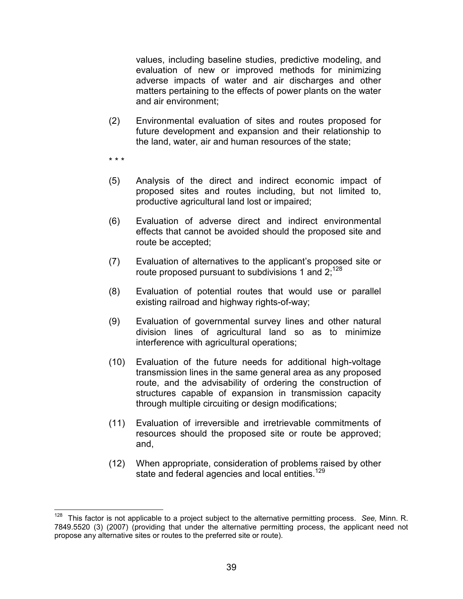values, including baseline studies, predictive modeling, and evaluation of new or improved methods for minimizing adverse impacts of water and air discharges and other matters pertaining to the effects of power plants on the water and air environment;

(2) Environmental evaluation of sites and routes proposed for future development and expansion and their relationship to the land, water, air and human resources of the state;

\* \* \*

- (5) Analysis of the direct and indirect economic impact of proposed sites and routes including, but not limited to, productive agricultural land lost or impaired;
- (6) Evaluation of adverse direct and indirect environmental effects that cannot be avoided should the proposed site and route be accepted;
- (7) Evaluation of alternatives to the applicant's proposed site or route proposed pursuant to subdivisions 1 and  $2$ ;<sup>128</sup>
- (8) Evaluation of potential routes that would use or parallel existing railroad and highway rights-of-way;
- (9) Evaluation of governmental survey lines and other natural division lines of agricultural land so as to minimize interference with agricultural operations;
- (10) Evaluation of the future needs for additional high-voltage transmission lines in the same general area as any proposed route, and the advisability of ordering the construction of structures capable of expansion in transmission capacity through multiple circuiting or design modifications;
- (11) Evaluation of irreversible and irretrievable commitments of resources should the proposed site or route be approved; and,
- (12) When appropriate, consideration of problems raised by other state and federal agencies and local entities.<sup>129</sup>

 $\overline{\phantom{a}}$  $128$  This factor is not applicable to a project subject to the alternative permitting process. See, Minn. R. 7849.5520 (3) (2007) (providing that under the alternative permitting process, the applicant need not propose any alternative sites or routes to the preferred site or route).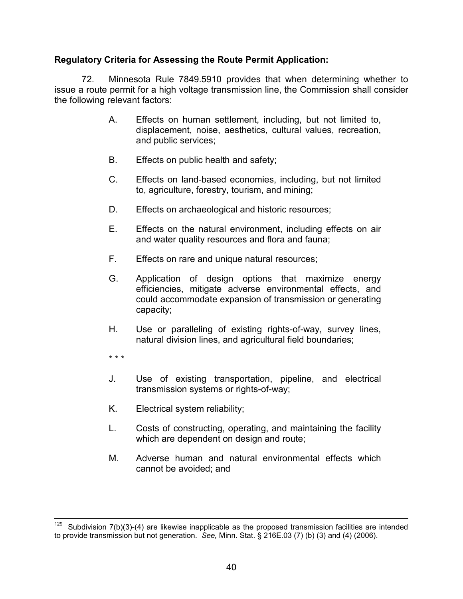# Regulatory Criteria for Assessing the Route Permit Application:

72. Minnesota Rule 7849.5910 provides that when determining whether to issue a route permit for a high voltage transmission line, the Commission shall consider the following relevant factors:

- A. Effects on human settlement, including, but not limited to, displacement, noise, aesthetics, cultural values, recreation, and public services;
- B. Effects on public health and safety;
- C. Effects on land-based economies, including, but not limited to, agriculture, forestry, tourism, and mining;
- D. Effects on archaeological and historic resources;
- E. Effects on the natural environment, including effects on air and water quality resources and flora and fauna;
- F. Effects on rare and unique natural resources;
- G. Application of design options that maximize energy efficiencies, mitigate adverse environmental effects, and could accommodate expansion of transmission or generating capacity;
- H. Use or paralleling of existing rights-of-way, survey lines, natural division lines, and agricultural field boundaries;
- \* \* \*
- J. Use of existing transportation, pipeline, and electrical transmission systems or rights-of-way;
- K. Electrical system reliability;
- L. Costs of constructing, operating, and maintaining the facility which are dependent on design and route;
- M. Adverse human and natural environmental effects which cannot be avoided; and

<sup>-</sup>Subdivision  $7(b)(3)-(4)$  are likewise inapplicable as the proposed transmission facilities are intended to provide transmission but not generation. See, Minn. Stat. § 216E.03 (7) (b) (3) and (4) (2006).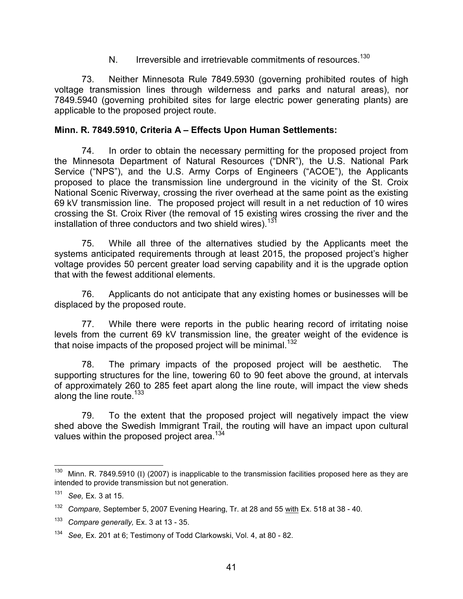N. Irreversible and irretrievable commitments of resources.<sup>130</sup>

73. Neither Minnesota Rule 7849.5930 (governing prohibited routes of high voltage transmission lines through wilderness and parks and natural areas), nor 7849.5940 (governing prohibited sites for large electric power generating plants) are applicable to the proposed project route.

#### Minn. R. 7849.5910, Criteria A – Effects Upon Human Settlements:

74. In order to obtain the necessary permitting for the proposed project from the Minnesota Department of Natural Resources ("DNR"), the U.S. National Park Service ("NPS"), and the U.S. Army Corps of Engineers ("ACOE"), the Applicants proposed to place the transmission line underground in the vicinity of the St. Croix National Scenic Riverway, crossing the river overhead at the same point as the existing 69 kV transmission line. The proposed project will result in a net reduction of 10 wires crossing the St. Croix River (the removal of 15 existing wires crossing the river and the installation of three conductors and two shield wires).<sup>131</sup>

75. While all three of the alternatives studied by the Applicants meet the systems anticipated requirements through at least 2015, the proposed project's higher voltage provides 50 percent greater load serving capability and it is the upgrade option that with the fewest additional elements.

76. Applicants do not anticipate that any existing homes or businesses will be displaced by the proposed route.

77. While there were reports in the public hearing record of irritating noise levels from the current 69 kV transmission line, the greater weight of the evidence is that noise impacts of the proposed project will be minimal.<sup>132</sup>

78. The primary impacts of the proposed project will be aesthetic. The supporting structures for the line, towering 60 to 90 feet above the ground, at intervals of approximately 260 to 285 feet apart along the line route, will impact the view sheds along the line route. $133$ 

79. To the extent that the proposed project will negatively impact the view shed above the Swedish Immigrant Trail, the routing will have an impact upon cultural values within the proposed project area.<sup>134</sup>

 $\frac{1}{2}$ Minn. R. 7849.5910 (I) (2007) is inapplicable to the transmission facilities proposed here as they are intended to provide transmission but not generation.

 $131$  See, Ex. 3 at 15.

 $132$  Compare, September 5, 2007 Evening Hearing, Tr. at 28 and 55 with Ex. 518 at 38 - 40.

 $133$  Compare generally, Ex. 3 at 13 - 35.

<sup>134</sup> See, Ex. 201 at 6; Testimony of Todd Clarkowski, Vol. 4, at 80 - 82.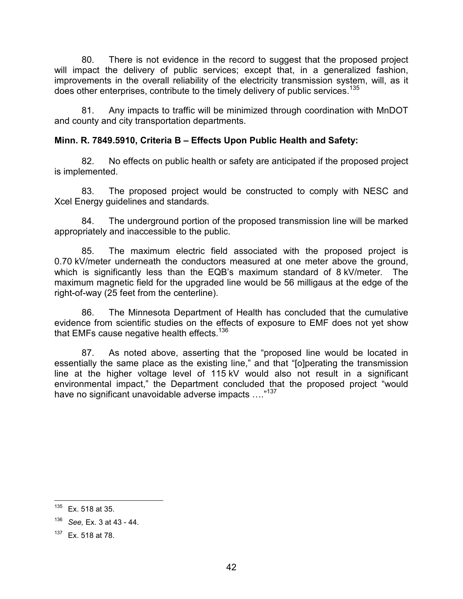80. There is not evidence in the record to suggest that the proposed project will impact the delivery of public services; except that, in a generalized fashion, improvements in the overall reliability of the electricity transmission system, will, as it does other enterprises, contribute to the timely delivery of public services.<sup>135</sup>

81. Any impacts to traffic will be minimized through coordination with MnDOT and county and city transportation departments.

# Minn. R. 7849.5910, Criteria B – Effects Upon Public Health and Safety:

82. No effects on public health or safety are anticipated if the proposed project is implemented.

83. The proposed project would be constructed to comply with NESC and Xcel Energy guidelines and standards.

84. The underground portion of the proposed transmission line will be marked appropriately and inaccessible to the public.

85. The maximum electric field associated with the proposed project is 0.70 kV/meter underneath the conductors measured at one meter above the ground, which is significantly less than the EQB's maximum standard of 8 kV/meter. The maximum magnetic field for the upgraded line would be 56 milligaus at the edge of the right-of-way (25 feet from the centerline).

86. The Minnesota Department of Health has concluded that the cumulative evidence from scientific studies on the effects of exposure to EMF does not yet show that EMFs cause negative health effects.<sup>136</sup>

87. As noted above, asserting that the "proposed line would be located in essentially the same place as the existing line," and that "[o]perating the transmission line at the higher voltage level of 115 kV would also not result in a significant environmental impact," the Department concluded that the proposed project "would have no significant unavoidable adverse impacts ...."<sup>137</sup>

<sup>135</sup> Ex. 518 at 35.

 $136$  See, Ex. 3 at 43 - 44.

<sup>137</sup> Ex. 518 at 78.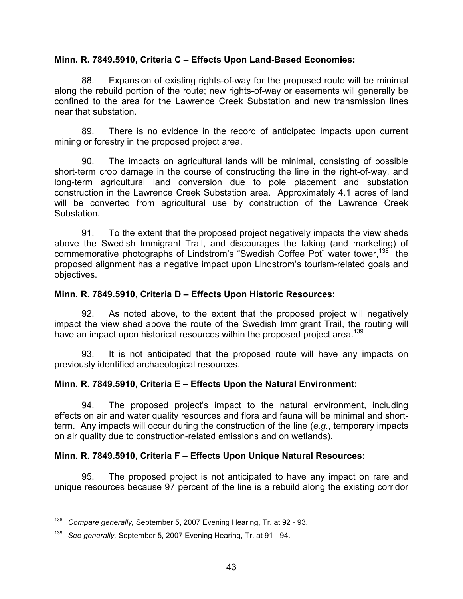### Minn. R. 7849.5910, Criteria C – Effects Upon Land-Based Economies:

88. Expansion of existing rights-of-way for the proposed route will be minimal along the rebuild portion of the route; new rights-of-way or easements will generally be confined to the area for the Lawrence Creek Substation and new transmission lines near that substation.

89. There is no evidence in the record of anticipated impacts upon current mining or forestry in the proposed project area.

90. The impacts on agricultural lands will be minimal, consisting of possible short-term crop damage in the course of constructing the line in the right-of-way, and long-term agricultural land conversion due to pole placement and substation construction in the Lawrence Creek Substation area. Approximately 4.1 acres of land will be converted from agricultural use by construction of the Lawrence Creek Substation.

91. To the extent that the proposed project negatively impacts the view sheds above the Swedish Immigrant Trail, and discourages the taking (and marketing) of commemorative photographs of Lindstrom's "Swedish Coffee Pot" water tower,<sup>138</sup> the proposed alignment has a negative impact upon Lindstrom's tourism-related goals and objectives.

### Minn. R. 7849.5910, Criteria D – Effects Upon Historic Resources:

92. As noted above, to the extent that the proposed project will negatively impact the view shed above the route of the Swedish Immigrant Trail, the routing will have an impact upon historical resources within the proposed project area.<sup>139</sup>

93. It is not anticipated that the proposed route will have any impacts on previously identified archaeological resources.

# Minn. R. 7849.5910, Criteria E – Effects Upon the Natural Environment:

94. The proposed project's impact to the natural environment, including effects on air and water quality resources and flora and fauna will be minimal and shortterm. Any impacts will occur during the construction of the line (e.g., temporary impacts on air quality due to construction-related emissions and on wetlands).

# Minn. R. 7849.5910, Criteria F – Effects Upon Unique Natural Resources:

95. The proposed project is not anticipated to have any impact on rare and unique resources because 97 percent of the line is a rebuild along the existing corridor

The mannit compare generally, September 5, 2007 Evening Hearing, Tr. at 92 - 93.<br><sup>138</sup> Compare generally, September 5, 2007 Evening Hearing, Tr. at 92 - 93.

<sup>&</sup>lt;sup>139</sup> See generally, September 5, 2007 Evening Hearing, Tr. at 91 - 94.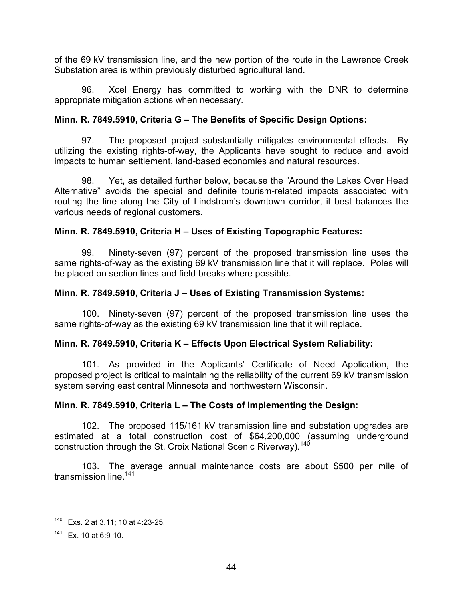of the 69 kV transmission line, and the new portion of the route in the Lawrence Creek Substation area is within previously disturbed agricultural land.

96. Xcel Energy has committed to working with the DNR to determine appropriate mitigation actions when necessary.

### Minn. R. 7849.5910, Criteria G – The Benefits of Specific Design Options:

97. The proposed project substantially mitigates environmental effects. By utilizing the existing rights-of-way, the Applicants have sought to reduce and avoid impacts to human settlement, land-based economies and natural resources.

98. Yet, as detailed further below, because the "Around the Lakes Over Head Alternative" avoids the special and definite tourism-related impacts associated with routing the line along the City of Lindstrom's downtown corridor, it best balances the various needs of regional customers.

### Minn. R. 7849.5910, Criteria H – Uses of Existing Topographic Features:

99. Ninety-seven (97) percent of the proposed transmission line uses the same rights-of-way as the existing 69 kV transmission line that it will replace. Poles will be placed on section lines and field breaks where possible.

#### Minn. R. 7849.5910, Criteria J – Uses of Existing Transmission Systems:

100. Ninety-seven (97) percent of the proposed transmission line uses the same rights-of-way as the existing 69 kV transmission line that it will replace.

### Minn. R. 7849.5910, Criteria K – Effects Upon Electrical System Reliability:

101. As provided in the Applicants' Certificate of Need Application, the proposed project is critical to maintaining the reliability of the current 69 kV transmission system serving east central Minnesota and northwestern Wisconsin.

### Minn. R. 7849.5910, Criteria L – The Costs of Implementing the Design:

102. The proposed 115/161 kV transmission line and substation upgrades are estimated at a total construction cost of \$64,200,000 (assuming underground construction through the St. Croix National Scenic Riverway).<sup>140</sup>

103. The average annual maintenance costs are about \$500 per mile of transmission line. $141$ 

-

 $140$  Exs. 2 at 3.11; 10 at 4:23-25.

 $141$  Ex. 10 at 6:9-10.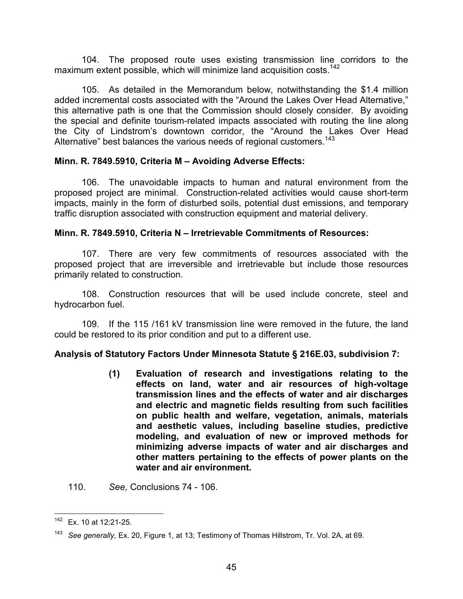104. The proposed route uses existing transmission line corridors to the maximum extent possible, which will minimize land acquisition costs.<sup>142</sup>

105. As detailed in the Memorandum below, notwithstanding the \$1.4 million added incremental costs associated with the "Around the Lakes Over Head Alternative," this alternative path is one that the Commission should closely consider. By avoiding the special and definite tourism-related impacts associated with routing the line along the City of Lindstrom's downtown corridor, the "Around the Lakes Over Head Alternative" best balances the various needs of regional customers.<sup>143</sup>

### Minn. R. 7849.5910, Criteria M – Avoiding Adverse Effects:

106. The unavoidable impacts to human and natural environment from the proposed project are minimal. Construction-related activities would cause short-term impacts, mainly in the form of disturbed soils, potential dust emissions, and temporary traffic disruption associated with construction equipment and material delivery.

#### Minn. R. 7849.5910, Criteria N – Irretrievable Commitments of Resources:

107. There are very few commitments of resources associated with the proposed project that are irreversible and irretrievable but include those resources primarily related to construction.

108. Construction resources that will be used include concrete, steel and hydrocarbon fuel.

109. If the 115 /161 kV transmission line were removed in the future, the land could be restored to its prior condition and put to a different use.

### Analysis of Statutory Factors Under Minnesota Statute § 216E.03, subdivision 7:

(1) Evaluation of research and investigations relating to the effects on land, water and air resources of high-voltage transmission lines and the effects of water and air discharges and electric and magnetic fields resulting from such facilities on public health and welfare, vegetation, animals, materials and aesthetic values, including baseline studies, predictive modeling, and evaluation of new or improved methods for minimizing adverse impacts of water and air discharges and other matters pertaining to the effects of power plants on the water and air environment.

110. See, Conclusions 74 - 106.

<sup>-</sup>Ex. 10 at 12:21-25.

<sup>&</sup>lt;sup>143</sup> See generally, Ex. 20, Figure 1, at 13; Testimony of Thomas Hillstrom, Tr. Vol. 2A, at 69.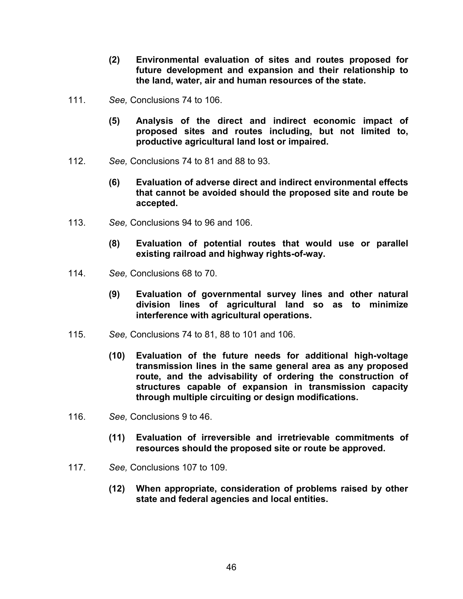- (2) Environmental evaluation of sites and routes proposed for future development and expansion and their relationship to the land, water, air and human resources of the state.
- 111. See, Conclusions 74 to 106.
	- (5) Analysis of the direct and indirect economic impact of proposed sites and routes including, but not limited to, productive agricultural land lost or impaired.
- 112. See, Conclusions 74 to 81 and 88 to 93.
	- (6) Evaluation of adverse direct and indirect environmental effects that cannot be avoided should the proposed site and route be accepted.
- 113. See, Conclusions 94 to 96 and 106.
	- (8) Evaluation of potential routes that would use or parallel existing railroad and highway rights-of-way.
- 114. See, Conclusions 68 to 70.
	- (9) Evaluation of governmental survey lines and other natural division lines of agricultural land so as to minimize interference with agricultural operations.
- 115. See, Conclusions 74 to 81, 88 to 101 and 106.
	- (10) Evaluation of the future needs for additional high-voltage transmission lines in the same general area as any proposed route, and the advisability of ordering the construction of structures capable of expansion in transmission capacity through multiple circuiting or design modifications.
- 116. See, Conclusions 9 to 46.
	- (11) Evaluation of irreversible and irretrievable commitments of resources should the proposed site or route be approved.
- 117. See, Conclusions 107 to 109.
	- (12) When appropriate, consideration of problems raised by other state and federal agencies and local entities.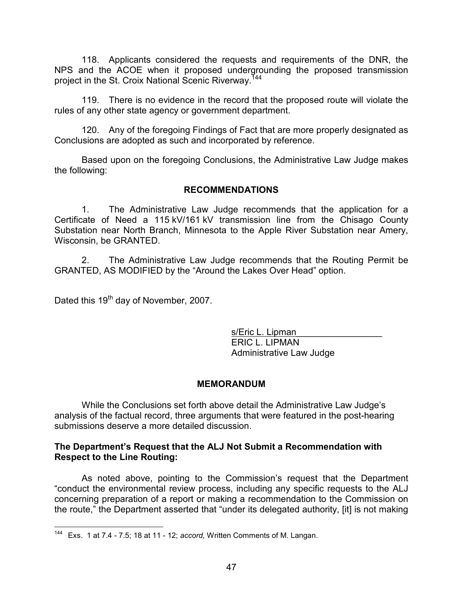118. Applicants considered the requests and requirements of the DNR, the NPS and the ACOE when it proposed undergrounding the proposed transmission project in the St. Croix National Scenic Riverway.<sup>744</sup>

119. There is no evidence in the record that the proposed route will violate the rules of any other state agency or government department.

120. Any of the foregoing Findings of Fact that are more properly designated as Conclusions are adopted as such and incorporated by reference.

Based upon on the foregoing Conclusions, the Administrative Law Judge makes the following:

#### RECOMMENDATIONS

1. The Administrative Law Judge recommends that the application for a Certificate of Need a 115 kV/161 kV transmission line from the Chisago County Substation near North Branch, Minnesota to the Apple River Substation near Amery, Wisconsin, be GRANTED.

2. The Administrative Law Judge recommends that the Routing Permit be GRANTED, AS MODIFIED by the "Around the Lakes Over Head" option.

Dated this 19<sup>th</sup> day of November, 2007.

s/Eric L. Lipman ERIC L. LIPMAN Administrative Law Judge

### MEMORANDUM

While the Conclusions set forth above detail the Administrative Law Judge's analysis of the factual record, three arguments that were featured in the post-hearing submissions deserve a more detailed discussion.

### The Department's Request that the ALJ Not Submit a Recommendation with Respect to the Line Routing:

As noted above, pointing to the Commission's request that the Department "conduct the environmental review process, including any specific requests to the ALJ concerning preparation of a report or making a recommendation to the Commission on the route," the Department asserted that "under its delegated authority, [it] is not making

 $\frac{1}{2}$ <sup>144</sup> Exs. 1 at 7.4 - 7.5; 18 at 11 - 12; accord, Written Comments of M. Langan.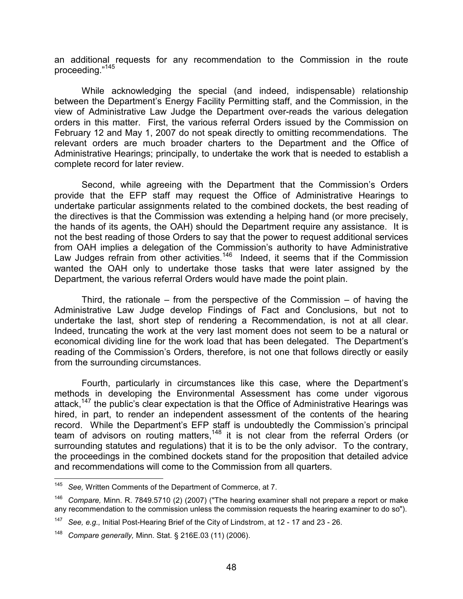an additional requests for any recommendation to the Commission in the route proceeding."<sup>145</sup>

While acknowledging the special (and indeed, indispensable) relationship between the Department's Energy Facility Permitting staff, and the Commission, in the view of Administrative Law Judge the Department over-reads the various delegation orders in this matter. First, the various referral Orders issued by the Commission on February 12 and May 1, 2007 do not speak directly to omitting recommendations. The relevant orders are much broader charters to the Department and the Office of Administrative Hearings; principally, to undertake the work that is needed to establish a complete record for later review.

Second, while agreeing with the Department that the Commission's Orders provide that the EFP staff may request the Office of Administrative Hearings to undertake particular assignments related to the combined dockets, the best reading of the directives is that the Commission was extending a helping hand (or more precisely, the hands of its agents, the OAH) should the Department require any assistance. It is not the best reading of those Orders to say that the power to request additional services from OAH implies a delegation of the Commission's authority to have Administrative Law Judges refrain from other activities.<sup>146</sup> Indeed, it seems that if the Commission wanted the OAH only to undertake those tasks that were later assigned by the Department, the various referral Orders would have made the point plain.

Third, the rationale – from the perspective of the Commission – of having the Administrative Law Judge develop Findings of Fact and Conclusions, but not to undertake the last, short step of rendering a Recommendation, is not at all clear. Indeed, truncating the work at the very last moment does not seem to be a natural or economical dividing line for the work load that has been delegated. The Department's reading of the Commission's Orders, therefore, is not one that follows directly or easily from the surrounding circumstances.

Fourth, particularly in circumstances like this case, where the Department's methods in developing the Environmental Assessment has come under vigorous attack,<sup>147</sup> the public's clear expectation is that the Office of Administrative Hearings was hired, in part, to render an independent assessment of the contents of the hearing record. While the Department's EFP staff is undoubtedly the Commission's principal team of advisors on routing matters,<sup>148</sup> it is not clear from the referral Orders (or surrounding statutes and regulations) that it is to be the only advisor. To the contrary, the proceedings in the combined dockets stand for the proposition that detailed advice and recommendations will come to the Commission from all quarters.

 $\frac{1}{145}$ See, Written Comments of the Department of Commerce, at 7.

 $146$  Compare, Minn. R. 7849.5710 (2) (2007) ("The hearing examiner shall not prepare a report or make any recommendation to the commission unless the commission requests the hearing examiner to do so").

<sup>&</sup>lt;sup>147</sup> See, e.g., Initial Post-Hearing Brief of the City of Lindstrom, at 12 - 17 and 23 - 26.

<sup>148</sup> Compare generally, Minn. Stat. § 216E.03 (11) (2006).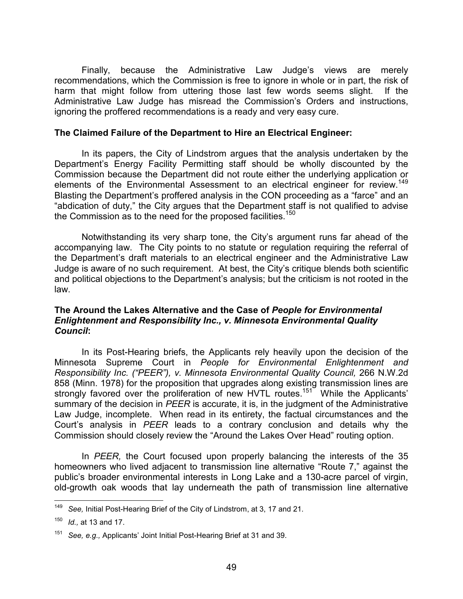Finally, because the Administrative Law Judge's views are merely recommendations, which the Commission is free to ignore in whole or in part, the risk of harm that might follow from uttering those last few words seems slight. If the Administrative Law Judge has misread the Commission's Orders and instructions, ignoring the proffered recommendations is a ready and very easy cure.

#### The Claimed Failure of the Department to Hire an Electrical Engineer:

In its papers, the City of Lindstrom argues that the analysis undertaken by the Department's Energy Facility Permitting staff should be wholly discounted by the Commission because the Department did not route either the underlying application or elements of the Environmental Assessment to an electrical engineer for review.<sup>149</sup> Blasting the Department's proffered analysis in the CON proceeding as a "farce" and an "abdication of duty," the City argues that the Department staff is not qualified to advise the Commission as to the need for the proposed facilities.<sup>150</sup>

Notwithstanding its very sharp tone, the City's argument runs far ahead of the accompanying law. The City points to no statute or regulation requiring the referral of the Department's draft materials to an electrical engineer and the Administrative Law Judge is aware of no such requirement. At best, the City's critique blends both scientific and political objections to the Department's analysis; but the criticism is not rooted in the law.

#### The Around the Lakes Alternative and the Case of People for Environmental Enlightenment and Responsibility Inc., v. Minnesota Environmental Quality Council:

In its Post-Hearing briefs, the Applicants rely heavily upon the decision of the Minnesota Supreme Court in People for Environmental Enlightenment and Responsibility Inc. ("PEER"), v. Minnesota Environmental Quality Council, 266 N.W.2d 858 (Minn. 1978) for the proposition that upgrades along existing transmission lines are strongly favored over the proliferation of new HVTL routes.<sup>151</sup> While the Applicants' summary of the decision in PEER is accurate, it is, in the judgment of the Administrative Law Judge, incomplete. When read in its entirety, the factual circumstances and the Court's analysis in PEER leads to a contrary conclusion and details why the Commission should closely review the "Around the Lakes Over Head" routing option.

In PEER, the Court focused upon properly balancing the interests of the 35 homeowners who lived adjacent to transmission line alternative "Route 7," against the public's broader environmental interests in Long Lake and a 130-acre parcel of virgin, old-growth oak woods that lay underneath the path of transmission line alternative

 $\frac{1}{2}$ 149 See, Initial Post-Hearing Brief of the City of Lindstrom, at 3, 17 and 21.

 $150$  *Id.*, at 13 and 17.

<sup>&</sup>lt;sup>151</sup> See, e.g., Applicants' Joint Initial Post-Hearing Brief at 31 and 39.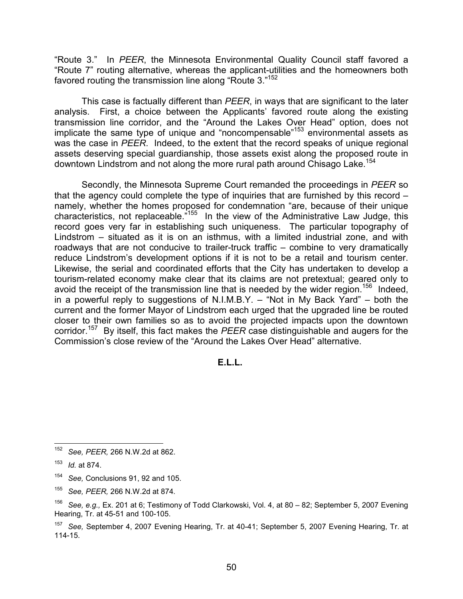"Route 3." In PEER, the Minnesota Environmental Quality Council staff favored a "Route 7" routing alternative, whereas the applicant-utilities and the homeowners both favored routing the transmission line along "Route 3."<sup>152</sup>

This case is factually different than PEER, in ways that are significant to the later analysis. First, a choice between the Applicants' favored route along the existing transmission line corridor, and the "Around the Lakes Over Head" option, does not implicate the same type of unique and "noncompensable"<sup>153</sup> environmental assets as was the case in PEER. Indeed, to the extent that the record speaks of unique regional assets deserving special guardianship, those assets exist along the proposed route in downtown Lindstrom and not along the more rural path around Chisago Lake.<sup>154</sup>

Secondly, the Minnesota Supreme Court remanded the proceedings in PEER so that the agency could complete the type of inquiries that are furnished by this record – namely, whether the homes proposed for condemnation "are, because of their unique characteristics, not replaceable."<sup>155</sup> In the view of the Administrative Law Judge, this record goes very far in establishing such uniqueness. The particular topography of Lindstrom – situated as it is on an isthmus, with a limited industrial zone, and with roadways that are not conducive to trailer-truck traffic – combine to very dramatically reduce Lindstrom's development options if it is not to be a retail and tourism center. Likewise, the serial and coordinated efforts that the City has undertaken to develop a tourism-related economy make clear that its claims are not pretextual; geared only to avoid the receipt of the transmission line that is needed by the wider region.<sup>156</sup> Indeed, in a powerful reply to suggestions of N.I.M.B.Y. – "Not in My Back Yard" – both the current and the former Mayor of Lindstrom each urged that the upgraded line be routed closer to their own families so as to avoid the projected impacts upon the downtown corridor.<sup>157</sup> By itself, this fact makes the PEER case distinguishable and augers for the Commission's close review of the "Around the Lakes Over Head" alternative.

#### E.L.L.

 $\frac{1}{152}$ See, PEER, 266 N.W.2d at 862.

<sup>153</sup> Id. at 874.

<sup>154</sup> See, Conclusions 91, 92 and 105.

<sup>155</sup> See, PEER, 266 N.W.2d at 874.

<sup>156</sup> See, e.g., Ex. 201 at 6; Testimony of Todd Clarkowski, Vol. 4, at 80 – 82; September 5, 2007 Evening Hearing, Tr. at 45-51 and 100-105.

<sup>157</sup> See, September 4, 2007 Evening Hearing, Tr. at 40-41; September 5, 2007 Evening Hearing, Tr. at 114-15.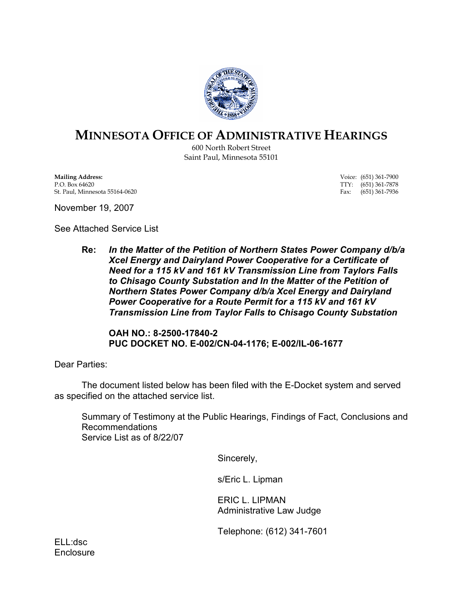

# MINNESOTA OFFICE OF ADMINISTRATIVE HEARINGS

600 North Robert Street Saint Paul, Minnesota 55101

**Mailing Address:** Voice: (651) 361-7900<br>P.O. Box 64620 **TTY:** (651) 361-7878 St. Paul, Minnesota 55164-0620

TTY: (651) 361-7878<br>Fax: (651) 361-7936

November 19, 2007

See Attached Service List

Re: In the Matter of the Petition of Northern States Power Company d/b/a Xcel Energy and Dairyland Power Cooperative for a Certificate of Need for a 115 kV and 161 kV Transmission Line from Taylors Falls to Chisago County Substation and In the Matter of the Petition of Northern States Power Company d/b/a Xcel Energy and Dairyland Power Cooperative for a Route Permit for a 115 kV and 161 kV Transmission Line from Taylor Falls to Chisago County Substation

OAH NO.: 8-2500-17840-2 PUC DOCKET NO. E-002/CN-04-1176; E-002/IL-06-1677

Dear Parties:

 The document listed below has been filed with the E-Docket system and served as specified on the attached service list.

Summary of Testimony at the Public Hearings, Findings of Fact, Conclusions and Recommendations Service List as of 8/22/07

Sincerely,

s/Eric L. Lipman

ERIC L. LIPMAN Administrative Law Judge

Telephone: (612) 341-7601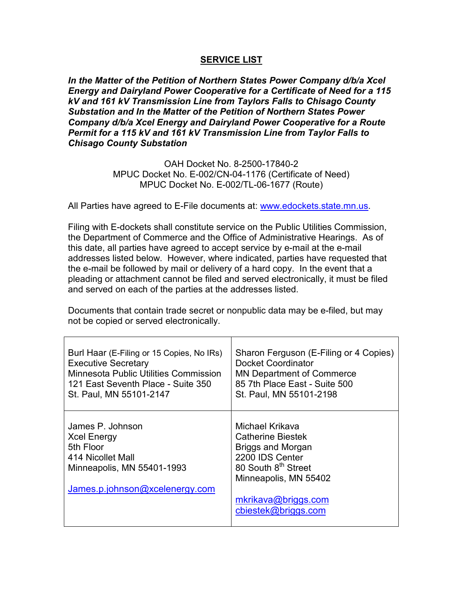#### SERVICE LIST

In the Matter of the Petition of Northern States Power Company d/b/a Xcel Energy and Dairyland Power Cooperative for a Certificate of Need for a 115 kV and 161 kV Transmission Line from Taylors Falls to Chisago County Substation and In the Matter of the Petition of Northern States Power Company d/b/a Xcel Energy and Dairyland Power Cooperative for a Route Permit for a 115 kV and 161 kV Transmission Line from Taylor Falls to Chisago County Substation

> OAH Docket No. 8-2500-17840-2 MPUC Docket No. E-002/CN-04-1176 (Certificate of Need) MPUC Docket No. E-002/TL-06-1677 (Route)

All Parties have agreed to E-File documents at: www.edockets.state.mn.us.

Filing with E-dockets shall constitute service on the Public Utilities Commission, the Department of Commerce and the Office of Administrative Hearings. As of this date, all parties have agreed to accept service by e-mail at the e-mail addresses listed below. However, where indicated, parties have requested that the e-mail be followed by mail or delivery of a hard copy. In the event that a pleading or attachment cannot be filed and served electronically, it must be filed and served on each of the parties at the addresses listed.

Documents that contain trade secret or nonpublic data may be e-filed, but may not be copied or served electronically.

| Burl Haar (E-Filing or 15 Copies, No IRs)                                                                                                | Sharon Ferguson (E-Filing or 4 Copies)                                                                                                                                                        |
|------------------------------------------------------------------------------------------------------------------------------------------|-----------------------------------------------------------------------------------------------------------------------------------------------------------------------------------------------|
| <b>Executive Secretary</b>                                                                                                               | Docket Coordinator                                                                                                                                                                            |
| Minnesota Public Utilities Commission                                                                                                    | <b>MN Department of Commerce</b>                                                                                                                                                              |
| 121 East Seventh Place - Suite 350                                                                                                       | 85 7th Place East - Suite 500                                                                                                                                                                 |
| St. Paul, MN 55101-2147                                                                                                                  | St. Paul, MN 55101-2198                                                                                                                                                                       |
| James P. Johnson<br><b>Xcel Energy</b><br>5th Floor<br>414 Nicollet Mall<br>Minneapolis, MN 55401-1993<br>James.p.johnson@xcelenergy.com | Michael Krikava<br>Catherine Biestek<br><b>Briggs and Morgan</b><br>2200 IDS Center<br>80 South 8 <sup>th</sup> Street<br>Minneapolis, MN 55402<br>mkrikava@briggs.com<br>cbiestek@briggs.com |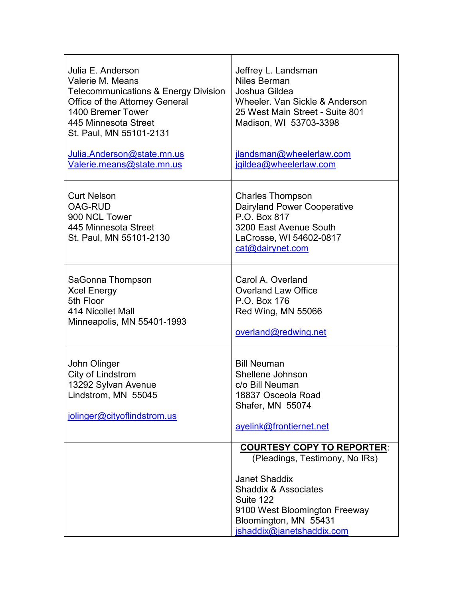| Julia E. Anderson<br>Valerie M. Means<br><b>Telecommunications &amp; Energy Division</b><br>Office of the Attorney General<br>1400 Bremer Tower<br>445 Minnesota Street<br>St. Paul, MN 55101-2131<br>Julia.Anderson@state.mn.us<br>Valerie.means@state.mn.us | Jeffrey L. Landsman<br><b>Niles Berman</b><br>Joshua Gildea<br>Wheeler. Van Sickle & Anderson<br>25 West Main Street - Suite 801<br>Madison, WI 53703-3398<br>jlandsman@wheelerlaw.com<br>jgildea@wheelerlaw.com                   |
|---------------------------------------------------------------------------------------------------------------------------------------------------------------------------------------------------------------------------------------------------------------|------------------------------------------------------------------------------------------------------------------------------------------------------------------------------------------------------------------------------------|
| <b>Curt Nelson</b><br><b>OAG-RUD</b><br>900 NCL Tower<br>445 Minnesota Street<br>St. Paul, MN 55101-2130                                                                                                                                                      | <b>Charles Thompson</b><br><b>Dairyland Power Cooperative</b><br>P.O. Box 817<br>3200 East Avenue South<br>LaCrosse, WI 54602-0817<br>cat@dairynet.com                                                                             |
| SaGonna Thompson<br><b>Xcel Energy</b><br>5th Floor<br>414 Nicollet Mall<br>Minneapolis, MN 55401-1993                                                                                                                                                        | Carol A. Overland<br><b>Overland Law Office</b><br>P.O. Box 176<br>Red Wing, MN 55066<br>overland@redwing.net                                                                                                                      |
| John Olinger<br>City of Lindstrom<br>13292 Sylvan Avenue<br>Lindstrom, MN 55045<br>jolinger@cityoflindstrom.us                                                                                                                                                | <b>Bill Neuman</b><br>Shellene Johnson<br>c/o Bill Neuman<br>18837 Osceola Road<br>Shafer, MN 55074<br>ayelink@frontiernet.net                                                                                                     |
|                                                                                                                                                                                                                                                               | <b>COURTESY COPY TO REPORTER:</b><br>(Pleadings, Testimony, No IRs)<br><b>Janet Shaddix</b><br><b>Shaddix &amp; Associates</b><br>Suite 122<br>9100 West Bloomington Freeway<br>Bloomington, MN 55431<br>jshaddix@janetshaddix.com |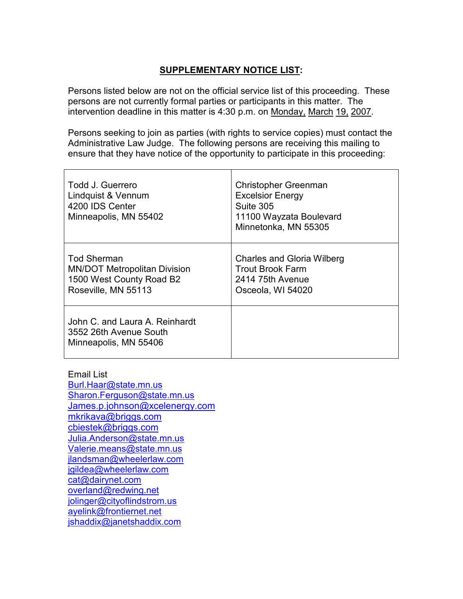# SUPPLEMENTARY NOTICE LIST:

Persons listed below are not on the official service list of this proceeding. These persons are not currently formal parties or participants in this matter. The intervention deadline in this matter is 4:30 p.m. on Monday, March 19, 2007.

Persons seeking to join as parties (with rights to service copies) must contact the Administrative Law Judge. The following persons are receiving this mailing to ensure that they have notice of the opportunity to participate in this proceeding:

| Todd J. Guerrero<br>Lindquist & Vennum<br>4200 IDS Center<br>Minneapolis, MN 55402                           | <b>Christopher Greenman</b><br><b>Excelsior Energy</b><br>Suite 305<br>11100 Wayzata Boulevard<br>Minnetonka, MN 55305 |
|--------------------------------------------------------------------------------------------------------------|------------------------------------------------------------------------------------------------------------------------|
| <b>Tod Sherman</b><br><b>MN/DOT Metropolitan Division</b><br>1500 West County Road B2<br>Roseville, MN 55113 | <b>Charles and Gloria Wilberg</b><br>Trout Brook Farm<br>2414 75th Avenue<br>Osceola, WI 54020                         |
| John C. and Laura A. Reinhardt<br>3552 26th Avenue South<br>Minneapolis, MN 55406                            |                                                                                                                        |

Email List Burl.Haar@state.mn.us Sharon.Ferguson@state.mn.us James.p.johnson@xcelenergy.com mkrikava@briggs.com cbiestek@briggs.com Julia.Anderson@state.mn.us Valerie.means@state.mn.us jlandsman@wheelerlaw.com jgildea@wheelerlaw.com cat@dairynet.com overland@redwing.net jolinger@cityoflindstrom.us ayelink@frontiernet.net jshaddix@janetshaddix.com